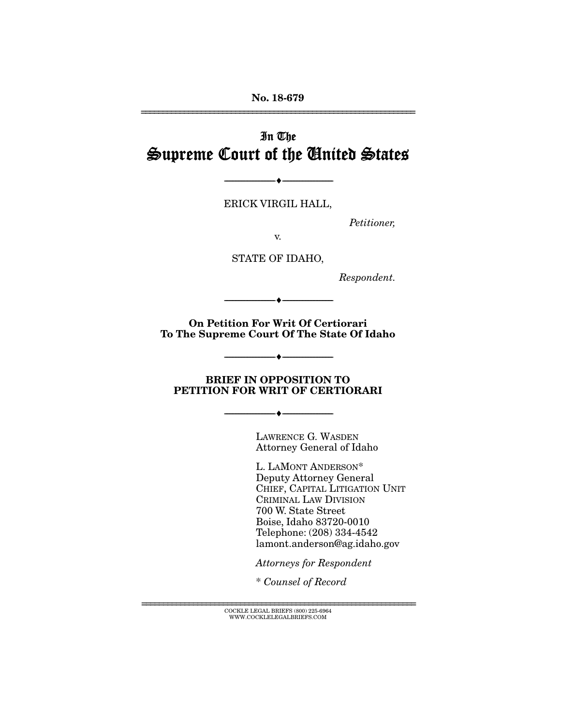No. 18-679 ================================================================

# In The Supreme Court of the United States

ERICK VIRGIL HALL,

--------------------------------- ---------------------------------

*Petitioner,* 

v.

STATE OF IDAHO,

*Respondent.* 

On Petition For Writ Of Certiorari To The Supreme Court Of The State Of Idaho

--------------------------------- ---------------------------------

BRIEF IN OPPOSITION TO PETITION FOR WRIT OF CERTIORARI

--------------------------------- ---------------------------------

--------------------------------- ---------------------------------

LAWRENCE G. WASDEN Attorney General of Idaho

L. LAMONT ANDERSON\* Deputy Attorney General CHIEF, CAPITAL LITIGATION UNIT CRIMINAL LAW DIVISION 700 W. State Street Boise, Idaho 83720-0010 Telephone: (208) 334-4542 lamont.anderson@ag.idaho.gov

*Attorneys for Respondent* 

\* *Counsel of Record*

================================================================ COCKLE LEGAL BRIEFS (800) 225-6964 WWW.COCKLELEGALBRIEFS.COM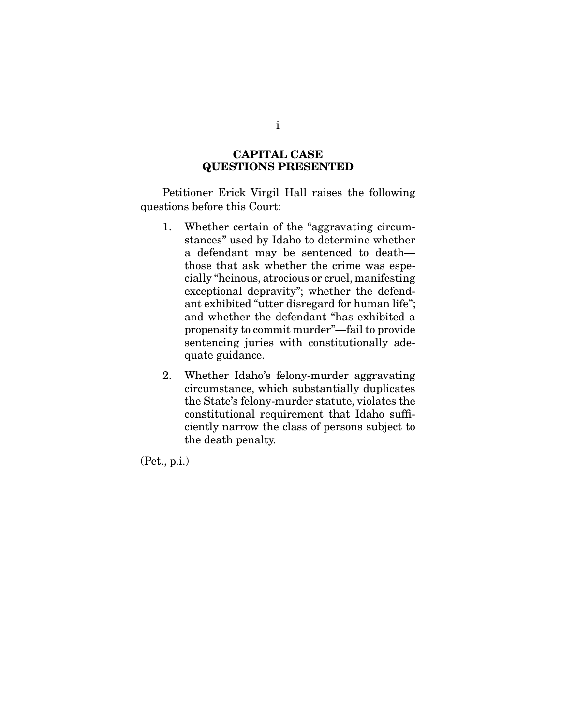#### CAPITAL CASE QUESTIONS PRESENTED

 Petitioner Erick Virgil Hall raises the following questions before this Court:

- 1. Whether certain of the "aggravating circumstances" used by Idaho to determine whether a defendant may be sentenced to death those that ask whether the crime was especially "heinous, atrocious or cruel, manifesting exceptional depravity"; whether the defendant exhibited "utter disregard for human life"; and whether the defendant "has exhibited a propensity to commit murder"—fail to provide sentencing juries with constitutionally adequate guidance.
- 2. Whether Idaho's felony-murder aggravating circumstance, which substantially duplicates the State's felony-murder statute, violates the constitutional requirement that Idaho sufficiently narrow the class of persons subject to the death penalty.

(Pet., p.i.)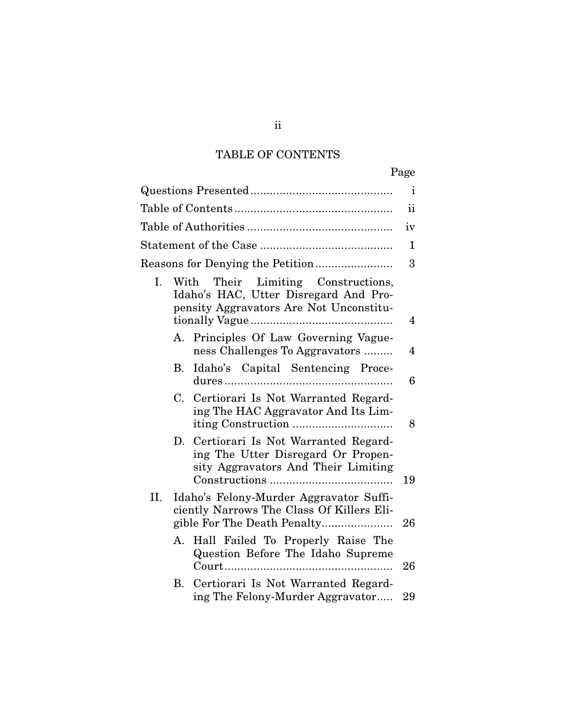# TABLE OF CONTENTS

|           |                                                                                                                        | Page           |
|-----------|------------------------------------------------------------------------------------------------------------------------|----------------|
|           |                                                                                                                        | $\mathbf{i}$   |
|           |                                                                                                                        | ii             |
|           |                                                                                                                        | iv             |
|           |                                                                                                                        | $\mathbf 1$    |
|           |                                                                                                                        | 3              |
| I.        | With Their Limiting Constructions,<br>Idaho's HAC, Utter Disregard And Pro-<br>pensity Aggravators Are Not Unconstitu- | $\overline{4}$ |
| А.        | Principles Of Law Governing Vague-<br>ness Challenges To Aggravators                                                   | $\overline{4}$ |
| <b>B.</b> | Idaho's Capital Sentencing Proce-                                                                                      | 6              |
| C.        | Certiorari Is Not Warranted Regard-<br>ing The HAC Aggravator And Its Lim-                                             | 8              |
| D.        | Certiorari Is Not Warranted Regard-<br>ing The Utter Disregard Or Propen-<br>sity Aggravators And Their Limiting       | 19             |
| II.       | Idaho's Felony-Murder Aggravator Suffi-<br>ciently Narrows The Class Of Killers Eli-<br>gible For The Death Penalty    | 26             |
| А.        | Hall Failed To Properly Raise The<br>Question Before The Idaho Supreme                                                 | 26             |
| В.        | Certiorari Is Not Warranted Regard-<br>ing The Felony-Murder Aggravator                                                | 29             |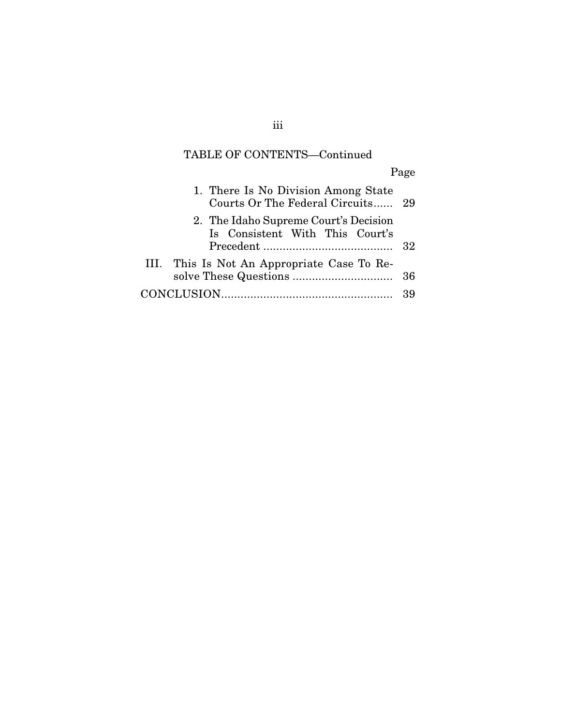### TABLE OF CONTENTS—Continued

Page 1. There Is No Division Among State Courts Or The Federal Circuits ...... 29 2. The Idaho Supreme Court's Decision Is Consistent With This Court's Precedent ........................................ 32

| III. This Is Not An Appropriate Case To Re- |  |
|---------------------------------------------|--|
|                                             |  |
|                                             |  |

iii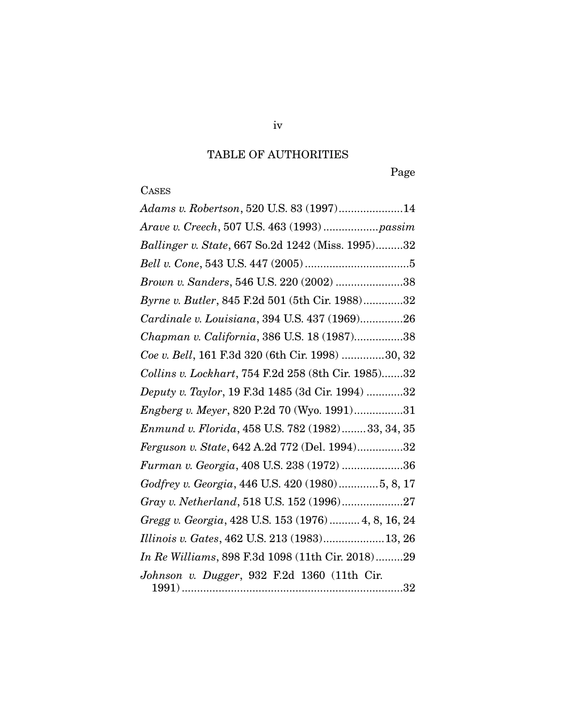# TABLE OF AUTHORITIES

Page

# **CASES**

| Adams v. Robertson, 520 U.S. 83 (1997)14            |
|-----------------------------------------------------|
|                                                     |
| Ballinger v. State, 667 So.2d 1242 (Miss. 1995)32   |
|                                                     |
| Brown v. Sanders, 546 U.S. 220 (2002) 38            |
| Byrne v. Butler, 845 F.2d 501 (5th Cir. 1988)32     |
| Cardinale v. Louisiana, 394 U.S. 437 (1969)26       |
| Chapman v. California, 386 U.S. 18 (1987)38         |
| Coe v. Bell, 161 F.3d 320 (6th Cir. 1998) 30, 32    |
| Collins v. Lockhart, 754 F.2d 258 (8th Cir. 1985)32 |
| Deputy v. Taylor, 19 F.3d 1485 (3d Cir. 1994) 32    |
| Engberg v. Meyer, 820 P.2d 70 (Wyo. 1991)31         |
| Enmund v. Florida, 458 U.S. 782 (1982)33, 34, 35    |
| Ferguson v. State, 642 A.2d 772 (Del. 1994)32       |
| Furman v. Georgia, 408 U.S. 238 (1972) 36           |
| Godfrey v. Georgia, 446 U.S. 420 (1980)5, 8, 17     |
| Gray v. Netherland, 518 U.S. 152 (1996)27           |
| Gregg v. Georgia, 428 U.S. 153 (1976)  4, 8, 16, 24 |
| Illinois v. Gates, 462 U.S. 213 (1983)13, 26        |
| In Re Williams, 898 F.3d 1098 (11th Cir. 2018)29    |
| Johnson v. Dugger, 932 F.2d 1360 (11th Cir.         |
|                                                     |

iv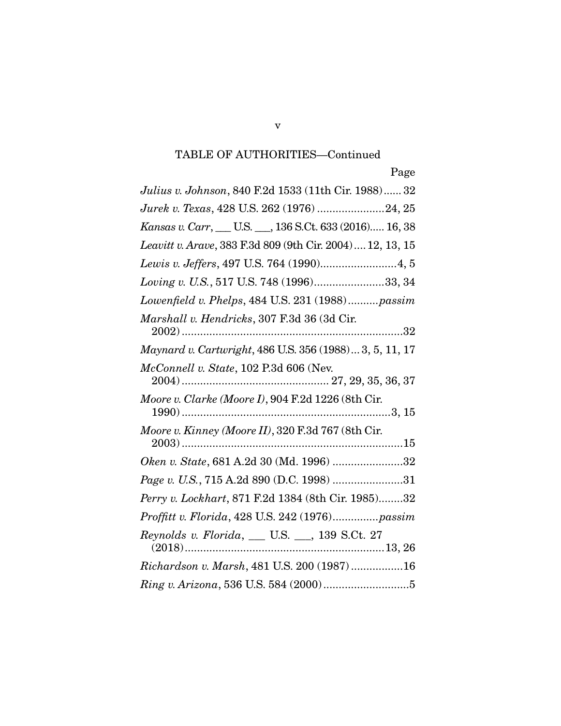| Julius v. Johnson, 840 F.2d 1533 (11th Cir. 1988) 32       |
|------------------------------------------------------------|
| Jurek v. Texas, 428 U.S. 262 (1976) 24, 25                 |
| Kansas v. Carr, __ U.S. __, 136 S.Ct. 633 (2016) 16, 38    |
| Leavitt v. Arave, 383 F.3d 809 (9th Cir. 2004)  12, 13, 15 |
| Lewis v. Jeffers, 497 U.S. 764 (1990) 4, 5                 |
| Loving v. U.S., 517 U.S. 748 (1996)33, 34                  |
| Lowenfield v. Phelps, 484 U.S. 231 (1988)passim            |
| Marshall v. Hendricks, 307 F.3d 36 (3d Cir.                |
| Maynard v. Cartwright, 486 U.S. 356 (1988) 3, 5, 11, 17    |
| McConnell v. State, 102 P.3d 606 (Nev.                     |
| Moore v. Clarke (Moore I), 904 F.2d 1226 (8th Cir.         |
| Moore v. Kinney (Moore II), 320 F.3d 767 (8th Cir.         |
| Oken v. State, 681 A.2d 30 (Md. 1996) 32                   |
| Page v. U.S., 715 A.2d 890 (D.C. 1998) 31                  |
| Perry v. Lockhart, 871 F.2d 1384 (8th Cir. 1985)32         |
| Proffitt v. Florida, 428 U.S. 242 (1976)passim             |
|                                                            |
| Richardson v. Marsh, 481 U.S. 200 (1987) 16                |
|                                                            |

v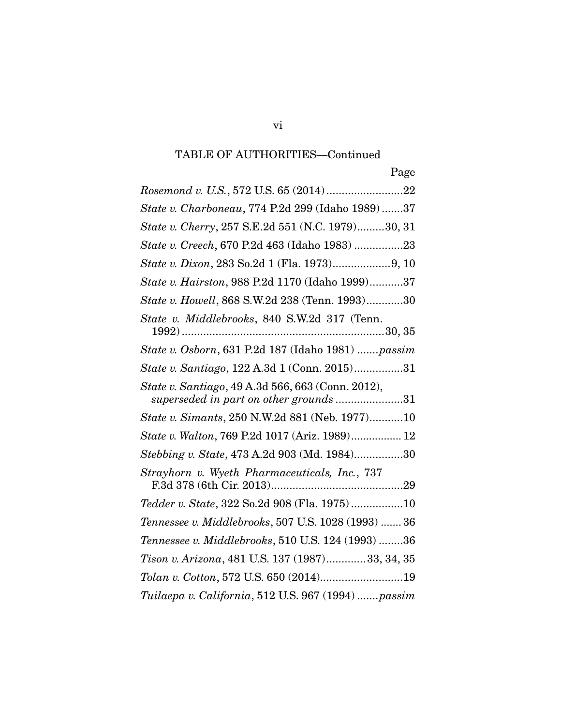| State v. Charboneau, 774 P.2d 299 (Idaho 1989)37                                            |
|---------------------------------------------------------------------------------------------|
| State v. Cherry, 257 S.E.2d 551 (N.C. 1979)30, 31                                           |
| State v. Creech, 670 P.2d 463 (Idaho 1983) 23                                               |
| State v. Dixon, 283 So.2d 1 (Fla. 1973)9, 10                                                |
| State v. Hairston, 988 P.2d 1170 (Idaho 1999)37                                             |
| State v. Howell, 868 S.W.2d 238 (Tenn. 1993)30                                              |
| State v. Middlebrooks, 840 S.W.2d 317 (Tenn.                                                |
| State v. Osborn, 631 P.2d 187 (Idaho 1981) passim                                           |
| State v. Santiago, 122 A.3d 1 (Conn. 2015)31                                                |
| State v. Santiago, 49 A.3d 566, 663 (Conn. 2012),<br>superseded in part on other grounds 31 |
| State v. Simants, 250 N.W.2d 881 (Neb. 1977)10                                              |
| State v. Walton, 769 P.2d 1017 (Ariz. 1989) 12                                              |
| Stebbing v. State, 473 A.2d 903 (Md. 1984)30                                                |
| Strayhorn v. Wyeth Pharmaceuticals, Inc., 737                                               |
| Tedder v. State, 322 So.2d 908 (Fla. 1975)10                                                |
| Tennessee v. Middlebrooks, 507 U.S. 1028 (1993)  36                                         |
| Tennessee v. Middlebrooks, 510 U.S. 124 (1993) 36                                           |
| Tison v. Arizona, 481 U.S. 137 (1987)33, 34, 35                                             |
| Tolan v. Cotton, 572 U.S. 650 (2014)19                                                      |
| Tuilaepa v. California, 512 U.S. 967 (1994) passim                                          |

vi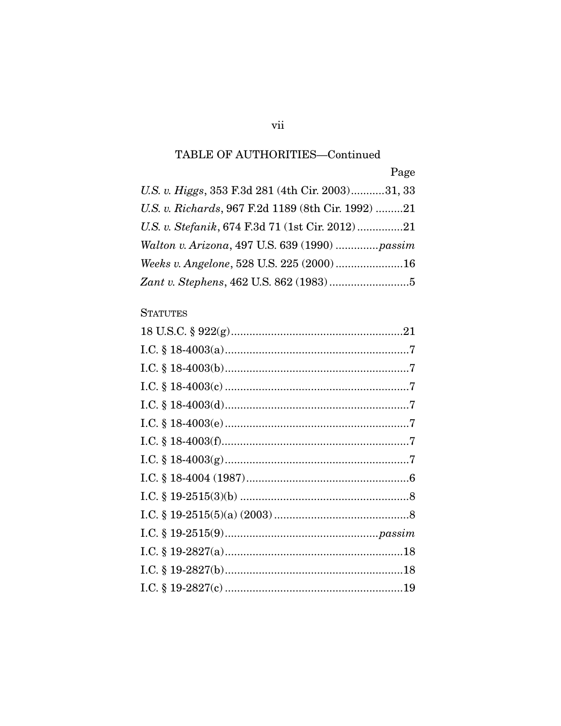Page

| U.S. v. Higgs, 353 F.3d 281 (4th Cir. 2003)31, 33  |  |
|----------------------------------------------------|--|
| U.S. v. Richards, 967 F.2d 1189 (8th Cir. 1992) 21 |  |
| U.S. v. Stefanik, 674 F.3d 71 (1st Cir. 2012)21    |  |
| Walton v. Arizona, 497 U.S. 639 (1990) passim      |  |
| Weeks v. Angelone, 528 U.S. 225 (2000)16           |  |
|                                                    |  |

### **STATUTES**

### vii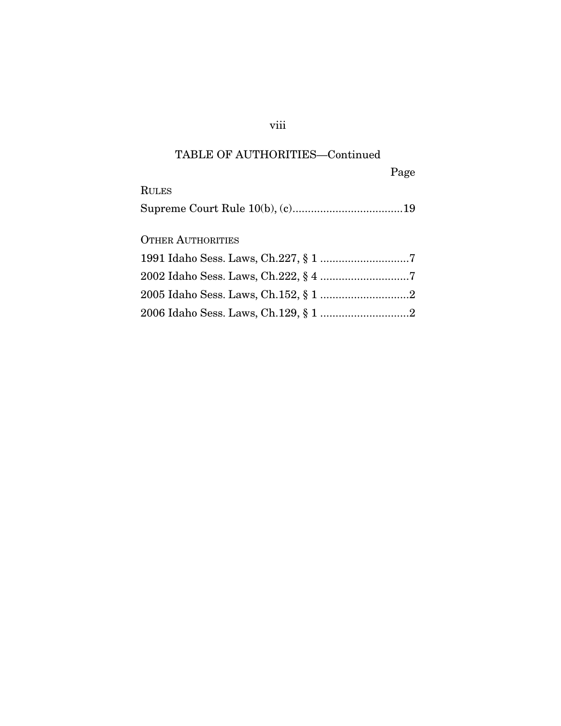|                          | Page |
|--------------------------|------|
| <b>RULES</b>             |      |
|                          |      |
|                          |      |
| <b>OTHER AUTHORITIES</b> |      |
|                          |      |
|                          |      |
|                          |      |
|                          |      |

### viii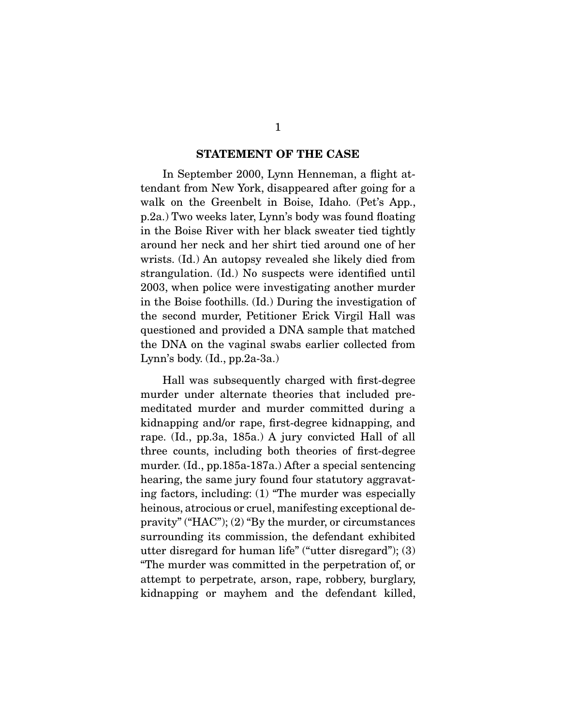#### STATEMENT OF THE CASE

 In September 2000, Lynn Henneman, a flight attendant from New York, disappeared after going for a walk on the Greenbelt in Boise, Idaho. (Pet's App., p.2a.) Two weeks later, Lynn's body was found floating in the Boise River with her black sweater tied tightly around her neck and her shirt tied around one of her wrists. (Id.) An autopsy revealed she likely died from strangulation. (Id.) No suspects were identified until 2003, when police were investigating another murder in the Boise foothills. (Id.) During the investigation of the second murder, Petitioner Erick Virgil Hall was questioned and provided a DNA sample that matched the DNA on the vaginal swabs earlier collected from Lynn's body. (Id., pp.2a-3a.)

 Hall was subsequently charged with first-degree murder under alternate theories that included premeditated murder and murder committed during a kidnapping and/or rape, first-degree kidnapping, and rape. (Id., pp.3a, 185a.) A jury convicted Hall of all three counts, including both theories of first-degree murder. (Id., pp.185a-187a.) After a special sentencing hearing, the same jury found four statutory aggravating factors, including: (1) "The murder was especially heinous, atrocious or cruel, manifesting exceptional depravity" ("HAC"); (2) "By the murder, or circumstances surrounding its commission, the defendant exhibited utter disregard for human life" ("utter disregard"); (3) "The murder was committed in the perpetration of, or attempt to perpetrate, arson, rape, robbery, burglary, kidnapping or mayhem and the defendant killed,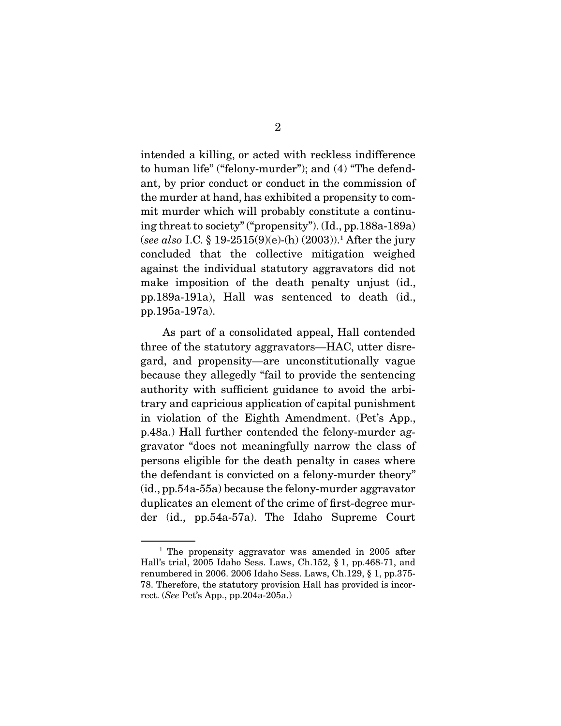intended a killing, or acted with reckless indifference to human life" ("felony-murder"); and (4) "The defendant, by prior conduct or conduct in the commission of the murder at hand, has exhibited a propensity to commit murder which will probably constitute a continuing threat to society" ("propensity"). (Id., pp.188a-189a) (*see also* I.C. § 19-2515(9)(e)-(h) (2003)).1 After the jury concluded that the collective mitigation weighed against the individual statutory aggravators did not make imposition of the death penalty unjust (id., pp.189a-191a), Hall was sentenced to death (id., pp.195a-197a).

 As part of a consolidated appeal, Hall contended three of the statutory aggravators—HAC, utter disregard, and propensity—are unconstitutionally vague because they allegedly "fail to provide the sentencing authority with sufficient guidance to avoid the arbitrary and capricious application of capital punishment in violation of the Eighth Amendment. (Pet's App., p.48a.) Hall further contended the felony-murder aggravator "does not meaningfully narrow the class of persons eligible for the death penalty in cases where the defendant is convicted on a felony-murder theory" (id., pp.54a-55a) because the felony-murder aggravator duplicates an element of the crime of first-degree murder (id., pp.54a-57a). The Idaho Supreme Court

<sup>&</sup>lt;sup>1</sup> The propensity aggravator was amended in 2005 after Hall's trial, 2005 Idaho Sess. Laws, Ch.152, § 1, pp.468-71, and renumbered in 2006. 2006 Idaho Sess. Laws, Ch.129, § 1, pp.375- 78. Therefore, the statutory provision Hall has provided is incorrect. (*See* Pet's App., pp.204a-205a.)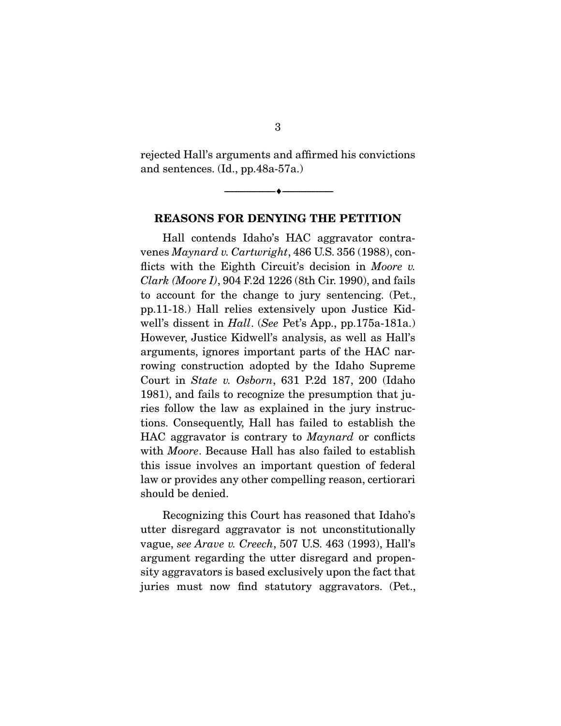rejected Hall's arguments and affirmed his convictions and sentences. (Id., pp.48a-57a.)

--------------------------------- ---------------------------------

REASONS FOR DENYING THE PETITION

 Hall contends Idaho's HAC aggravator contravenes *Maynard v. Cartwright*, 486 U.S. 356 (1988), conflicts with the Eighth Circuit's decision in *Moore v. Clark (Moore I)*, 904 F.2d 1226 (8th Cir. 1990), and fails to account for the change to jury sentencing. (Pet., pp.11-18.) Hall relies extensively upon Justice Kidwell's dissent in *Hall*. (*See* Pet's App., pp.175a-181a.) However, Justice Kidwell's analysis, as well as Hall's arguments, ignores important parts of the HAC narrowing construction adopted by the Idaho Supreme Court in *State v. Osborn*, 631 P.2d 187, 200 (Idaho 1981), and fails to recognize the presumption that juries follow the law as explained in the jury instructions. Consequently, Hall has failed to establish the HAC aggravator is contrary to *Maynard* or conflicts with *Moore*. Because Hall has also failed to establish this issue involves an important question of federal law or provides any other compelling reason, certiorari should be denied.

 Recognizing this Court has reasoned that Idaho's utter disregard aggravator is not unconstitutionally vague, *see Arave v. Creech*, 507 U.S. 463 (1993), Hall's argument regarding the utter disregard and propensity aggravators is based exclusively upon the fact that juries must now find statutory aggravators. (Pet.,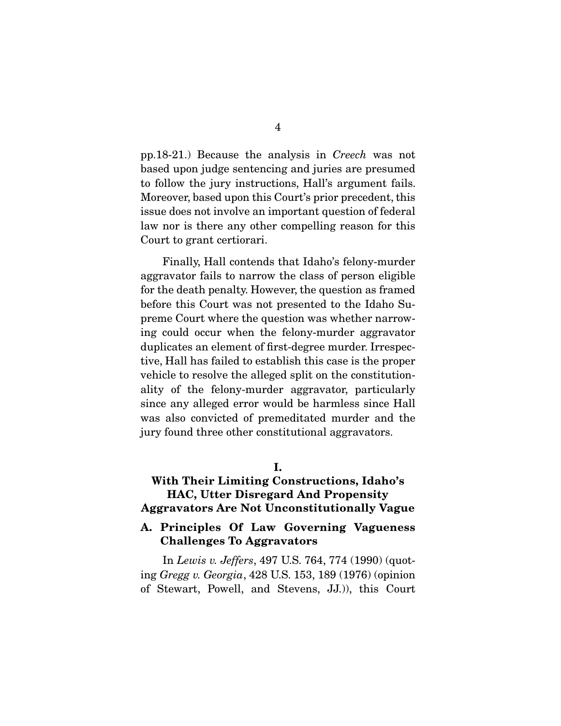pp.18-21.) Because the analysis in *Creech* was not based upon judge sentencing and juries are presumed to follow the jury instructions, Hall's argument fails. Moreover, based upon this Court's prior precedent, this issue does not involve an important question of federal law nor is there any other compelling reason for this Court to grant certiorari.

 Finally, Hall contends that Idaho's felony-murder aggravator fails to narrow the class of person eligible for the death penalty. However, the question as framed before this Court was not presented to the Idaho Supreme Court where the question was whether narrowing could occur when the felony-murder aggravator duplicates an element of first-degree murder. Irrespective, Hall has failed to establish this case is the proper vehicle to resolve the alleged split on the constitutionality of the felony-murder aggravator, particularly since any alleged error would be harmless since Hall was also convicted of premeditated murder and the jury found three other constitutional aggravators.

I.

#### With Their Limiting Constructions, Idaho's HAC, Utter Disregard And Propensity Aggravators Are Not Unconstitutionally Vague

#### A. Principles Of Law Governing Vagueness Challenges To Aggravators

 In *Lewis v. Jeffers*, 497 U.S. 764, 774 (1990) (quoting *Gregg v. Georgia*, 428 U.S. 153, 189 (1976) (opinion of Stewart, Powell, and Stevens, JJ.)), this Court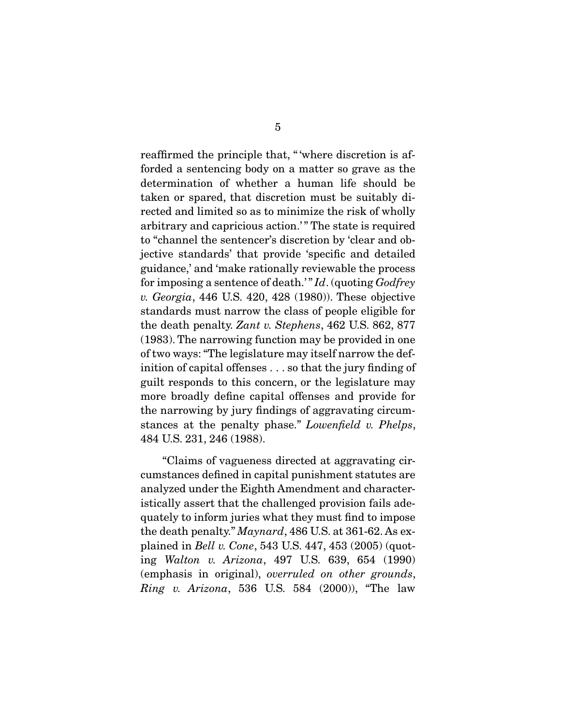reaffirmed the principle that, " 'where discretion is afforded a sentencing body on a matter so grave as the determination of whether a human life should be taken or spared, that discretion must be suitably directed and limited so as to minimize the risk of wholly arbitrary and capricious action.'" The state is required to "channel the sentencer's discretion by 'clear and objective standards' that provide 'specific and detailed guidance,' and 'make rationally reviewable the process for imposing a sentence of death.' " *Id*. (quoting *Godfrey v. Georgia*, 446 U.S. 420, 428 (1980)). These objective standards must narrow the class of people eligible for the death penalty. *Zant v. Stephens*, 462 U.S. 862, 877 (1983). The narrowing function may be provided in one of two ways: "The legislature may itself narrow the definition of capital offenses . . . so that the jury finding of guilt responds to this concern, or the legislature may more broadly define capital offenses and provide for the narrowing by jury findings of aggravating circumstances at the penalty phase." *Lowenfield v. Phelps*, 484 U.S. 231, 246 (1988).

 "Claims of vagueness directed at aggravating circumstances defined in capital punishment statutes are analyzed under the Eighth Amendment and characteristically assert that the challenged provision fails adequately to inform juries what they must find to impose the death penalty." *Maynard*, 486 U.S. at 361-62. As explained in *Bell v. Cone*, 543 U.S. 447, 453 (2005) (quoting *Walton v. Arizona*, 497 U.S. 639, 654 (1990) (emphasis in original), *overruled on other grounds*, *Ring v. Arizona*, 536 U.S. 584 (2000)), "The law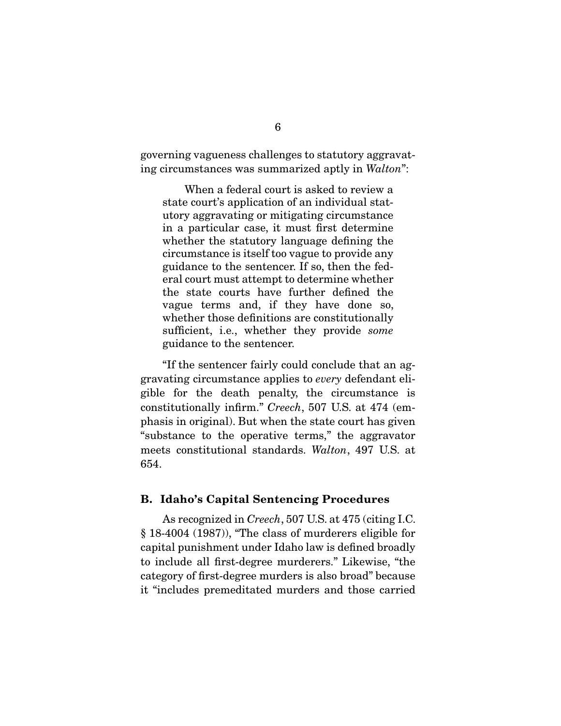governing vagueness challenges to statutory aggravating circumstances was summarized aptly in *Walton*":

 When a federal court is asked to review a state court's application of an individual statutory aggravating or mitigating circumstance in a particular case, it must first determine whether the statutory language defining the circumstance is itself too vague to provide any guidance to the sentencer. If so, then the federal court must attempt to determine whether the state courts have further defined the vague terms and, if they have done so, whether those definitions are constitutionally sufficient, i.e., whether they provide *some* guidance to the sentencer.

 "If the sentencer fairly could conclude that an aggravating circumstance applies to *every* defendant eligible for the death penalty, the circumstance is constitutionally infirm." *Creech*, 507 U.S. at 474 (emphasis in original). But when the state court has given "substance to the operative terms," the aggravator meets constitutional standards. *Walton*, 497 U.S. at 654.

#### B. Idaho's Capital Sentencing Procedures

 As recognized in *Creech*, 507 U.S. at 475 (citing I.C. § 18-4004 (1987)), "The class of murderers eligible for capital punishment under Idaho law is defined broadly to include all first-degree murderers." Likewise, "the category of first-degree murders is also broad" because it "includes premeditated murders and those carried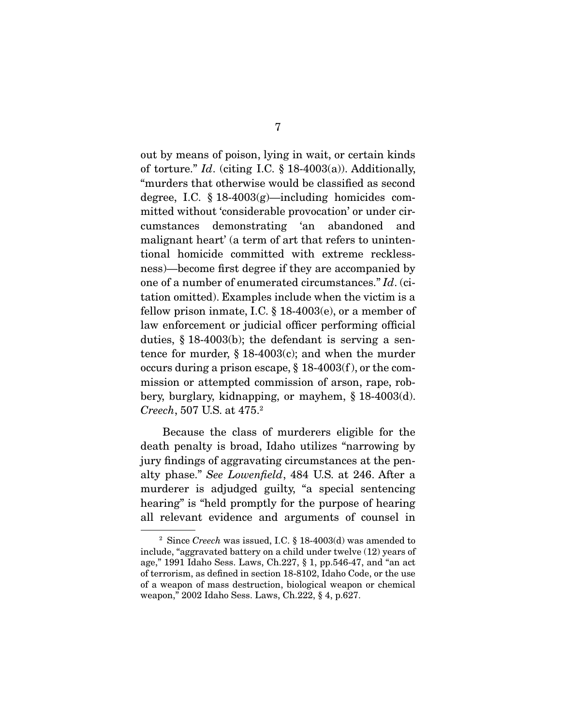out by means of poison, lying in wait, or certain kinds of torture." *Id*. (citing I.C. § 18-4003(a)). Additionally, "murders that otherwise would be classified as second degree, I.C.  $\S 18-4003(g)$ —including homicides committed without 'considerable provocation' or under circumstances demonstrating 'an abandoned and malignant heart' (a term of art that refers to unintentional homicide committed with extreme recklessness)—become first degree if they are accompanied by one of a number of enumerated circumstances." *Id*. (citation omitted). Examples include when the victim is a fellow prison inmate, I.C.  $\S$  18-4003(e), or a member of law enforcement or judicial officer performing official duties, § 18-4003(b); the defendant is serving a sentence for murder, § 18-4003(c); and when the murder occurs during a prison escape,  $\S$  18-4003(f), or the commission or attempted commission of arson, rape, robbery, burglary, kidnapping, or mayhem, § 18-4003(d). *Creech*, 507 U.S. at 475.2

 Because the class of murderers eligible for the death penalty is broad, Idaho utilizes "narrowing by jury findings of aggravating circumstances at the penalty phase." *See Lowenfield*, 484 U.S. at 246. After a murderer is adjudged guilty, "a special sentencing hearing" is "held promptly for the purpose of hearing all relevant evidence and arguments of counsel in

<sup>2</sup> Since *Creech* was issued, I.C. § 18-4003(d) was amended to include, "aggravated battery on a child under twelve (12) years of age," 1991 Idaho Sess. Laws, Ch.227, § 1, pp.546-47, and "an act of terrorism, as defined in section 18-8102, Idaho Code, or the use of a weapon of mass destruction, biological weapon or chemical weapon," 2002 Idaho Sess. Laws, Ch.222, § 4, p.627.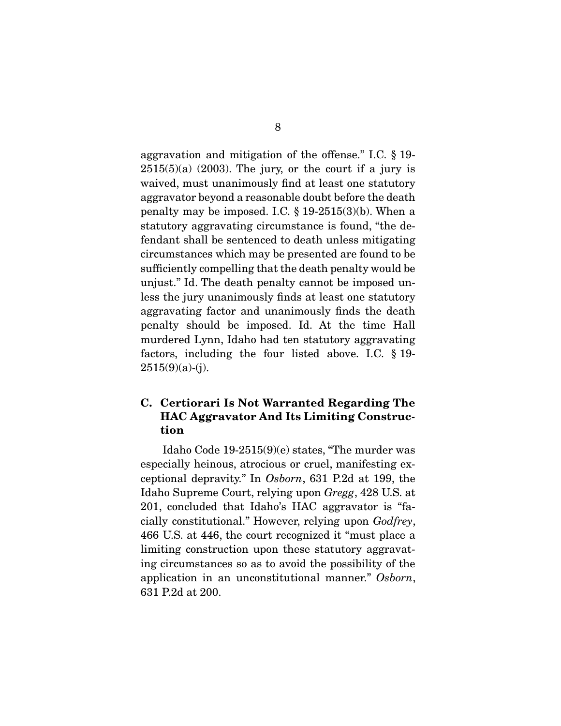aggravation and mitigation of the offense." I.C. § 19-  $2515(5)(a)$  (2003). The jury, or the court if a jury is waived, must unanimously find at least one statutory aggravator beyond a reasonable doubt before the death penalty may be imposed. I.C.  $\S$  19-2515(3)(b). When a statutory aggravating circumstance is found, "the defendant shall be sentenced to death unless mitigating circumstances which may be presented are found to be sufficiently compelling that the death penalty would be unjust." Id. The death penalty cannot be imposed unless the jury unanimously finds at least one statutory aggravating factor and unanimously finds the death penalty should be imposed. Id. At the time Hall murdered Lynn, Idaho had ten statutory aggravating factors, including the four listed above. I.C. § 19-  $2515(9)(a)-(j).$ 

### C. Certiorari Is Not Warranted Regarding The HAC Aggravator And Its Limiting Construction

 Idaho Code 19-2515(9)(e) states, "The murder was especially heinous, atrocious or cruel, manifesting exceptional depravity." In *Osborn*, 631 P.2d at 199, the Idaho Supreme Court, relying upon *Gregg*, 428 U.S. at 201, concluded that Idaho's HAC aggravator is "facially constitutional." However, relying upon *Godfrey*, 466 U.S. at 446, the court recognized it "must place a limiting construction upon these statutory aggravating circumstances so as to avoid the possibility of the application in an unconstitutional manner." *Osborn*, 631 P.2d at 200.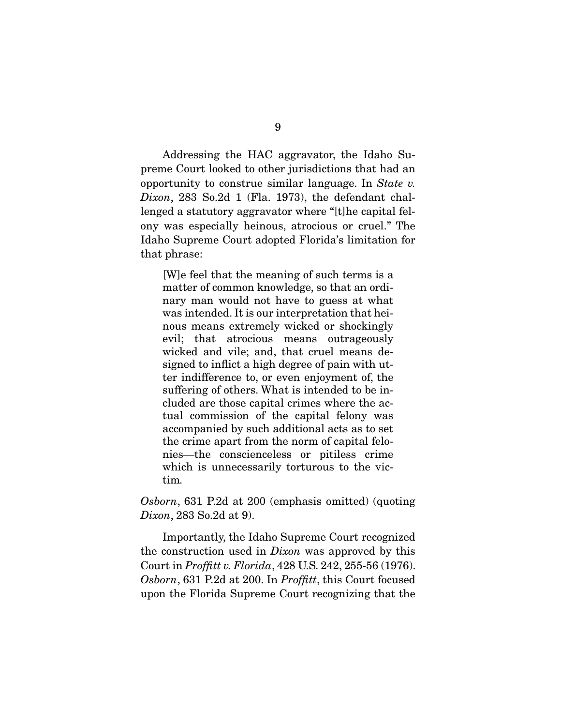Addressing the HAC aggravator, the Idaho Supreme Court looked to other jurisdictions that had an opportunity to construe similar language. In *State v. Dixon*, 283 So.2d 1 (Fla. 1973), the defendant challenged a statutory aggravator where "[t]he capital felony was especially heinous, atrocious or cruel." The Idaho Supreme Court adopted Florida's limitation for that phrase:

[W]e feel that the meaning of such terms is a matter of common knowledge, so that an ordinary man would not have to guess at what was intended. It is our interpretation that heinous means extremely wicked or shockingly evil; that atrocious means outrageously wicked and vile; and, that cruel means designed to inflict a high degree of pain with utter indifference to, or even enjoyment of, the suffering of others. What is intended to be included are those capital crimes where the actual commission of the capital felony was accompanied by such additional acts as to set the crime apart from the norm of capital felonies—the conscienceless or pitiless crime which is unnecessarily torturous to the victim*.*

*Osborn*, 631 P.2d at 200 (emphasis omitted) (quoting *Dixon*, 283 So.2d at 9).

 Importantly, the Idaho Supreme Court recognized the construction used in *Dixon* was approved by this Court in *Proffitt v. Florida*, 428 U.S. 242, 255-56 (1976). *Osborn*, 631 P.2d at 200. In *Proffitt*, this Court focused upon the Florida Supreme Court recognizing that the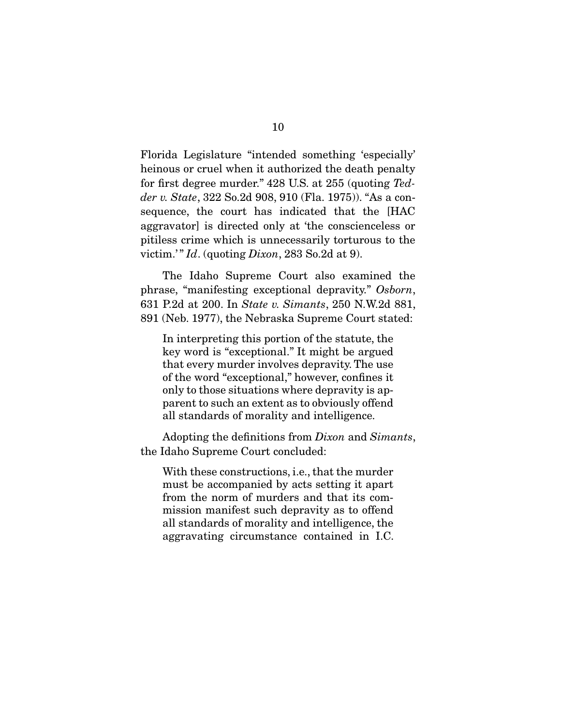Florida Legislature "intended something 'especially' heinous or cruel when it authorized the death penalty for first degree murder." 428 U.S. at 255 (quoting *Tedder v. State*, 322 So.2d 908, 910 (Fla. 1975)). "As a consequence, the court has indicated that the [HAC aggravator] is directed only at 'the conscienceless or pitiless crime which is unnecessarily torturous to the victim.' " *Id*. (quoting *Dixon*, 283 So.2d at 9).

 The Idaho Supreme Court also examined the phrase, "manifesting exceptional depravity." *Osborn*, 631 P.2d at 200. In *State v. Simants*, 250 N.W.2d 881, 891 (Neb. 1977), the Nebraska Supreme Court stated:

In interpreting this portion of the statute, the key word is "exceptional." It might be argued that every murder involves depravity. The use of the word "exceptional," however, confines it only to those situations where depravity is apparent to such an extent as to obviously offend all standards of morality and intelligence.

 Adopting the definitions from *Dixon* and *Simants*, the Idaho Supreme Court concluded:

With these constructions, i.e., that the murder must be accompanied by acts setting it apart from the norm of murders and that its commission manifest such depravity as to offend all standards of morality and intelligence, the aggravating circumstance contained in I.C.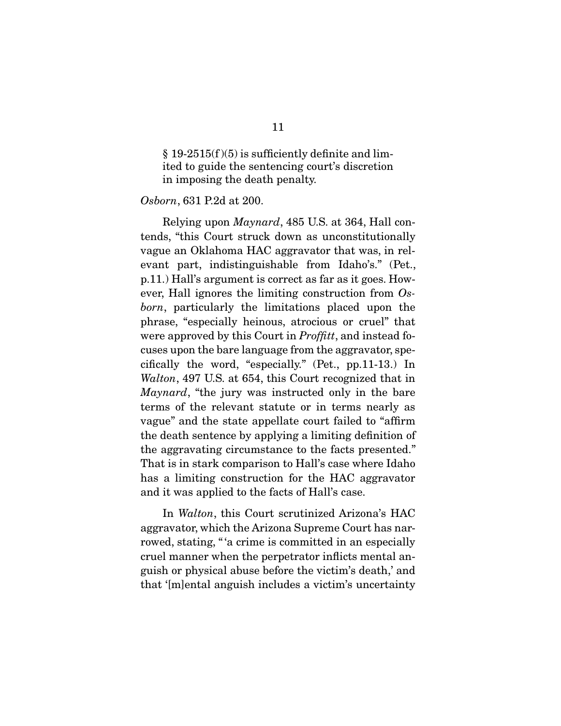$§ 19-2515(f)(5)$  is sufficiently definite and limited to guide the sentencing court's discretion in imposing the death penalty.

#### *Osborn*, 631 P.2d at 200.

 Relying upon *Maynard*, 485 U.S. at 364, Hall contends, "this Court struck down as unconstitutionally vague an Oklahoma HAC aggravator that was, in relevant part, indistinguishable from Idaho's." (Pet., p.11.) Hall's argument is correct as far as it goes. However, Hall ignores the limiting construction from *Osborn*, particularly the limitations placed upon the phrase, "especially heinous, atrocious or cruel" that were approved by this Court in *Proffitt*, and instead focuses upon the bare language from the aggravator, specifically the word, "especially." (Pet., pp.11-13.) In *Walton*, 497 U.S. at 654, this Court recognized that in *Maynard*, "the jury was instructed only in the bare terms of the relevant statute or in terms nearly as vague" and the state appellate court failed to "affirm the death sentence by applying a limiting definition of the aggravating circumstance to the facts presented." That is in stark comparison to Hall's case where Idaho has a limiting construction for the HAC aggravator and it was applied to the facts of Hall's case.

 In *Walton*, this Court scrutinized Arizona's HAC aggravator, which the Arizona Supreme Court has narrowed, stating, "'a crime is committed in an especially cruel manner when the perpetrator inflicts mental anguish or physical abuse before the victim's death,' and that '[m]ental anguish includes a victim's uncertainty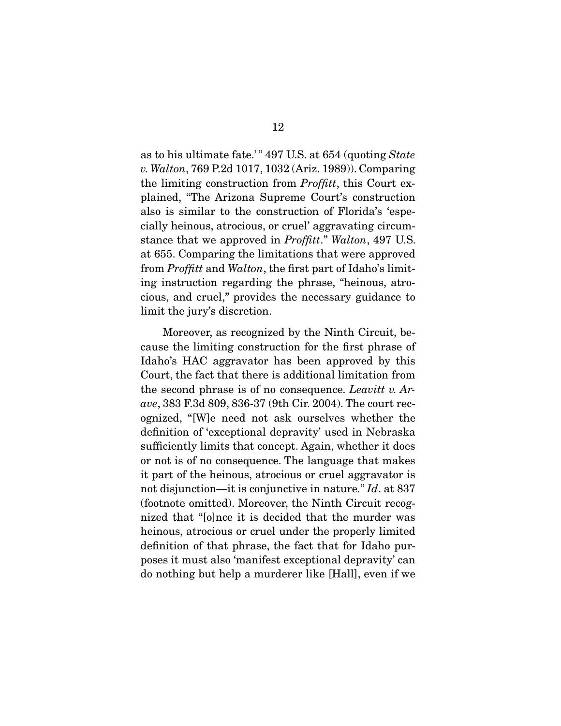as to his ultimate fate.' " 497 U.S. at 654 (quoting *State v. Walton*, 769 P.2d 1017, 1032 (Ariz. 1989)). Comparing the limiting construction from *Proffitt*, this Court explained, "The Arizona Supreme Court's construction also is similar to the construction of Florida's 'especially heinous, atrocious, or cruel' aggravating circumstance that we approved in *Proffitt*." *Walton*, 497 U.S. at 655. Comparing the limitations that were approved from *Proffitt* and *Walton*, the first part of Idaho's limiting instruction regarding the phrase, "heinous, atrocious, and cruel," provides the necessary guidance to limit the jury's discretion.

 Moreover, as recognized by the Ninth Circuit, because the limiting construction for the first phrase of Idaho's HAC aggravator has been approved by this Court, the fact that there is additional limitation from the second phrase is of no consequence. *Leavitt v. Arave*, 383 F.3d 809, 836-37 (9th Cir. 2004). The court recognized, "[W]e need not ask ourselves whether the definition of 'exceptional depravity' used in Nebraska sufficiently limits that concept. Again, whether it does or not is of no consequence. The language that makes it part of the heinous, atrocious or cruel aggravator is not disjunction—it is conjunctive in nature." *Id*. at 837 (footnote omitted). Moreover, the Ninth Circuit recognized that "[o]nce it is decided that the murder was heinous, atrocious or cruel under the properly limited definition of that phrase, the fact that for Idaho purposes it must also 'manifest exceptional depravity' can do nothing but help a murderer like [Hall], even if we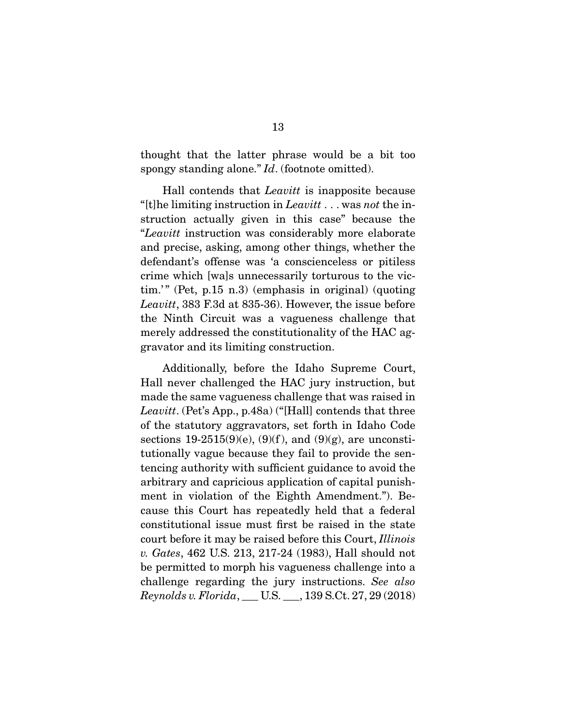thought that the latter phrase would be a bit too spongy standing alone." *Id*. (footnote omitted).

 Hall contends that *Leavitt* is inapposite because "[t]he limiting instruction in *Leavitt* . . . was *not* the instruction actually given in this case" because the "*Leavitt* instruction was considerably more elaborate and precise, asking, among other things, whether the defendant's offense was 'a conscienceless or pitiless crime which [wa]s unnecessarily torturous to the vic- $\lim$ ." (Pet, p.15 n.3) (emphasis in original) (quoting *Leavitt*, 383 F.3d at 835-36). However, the issue before the Ninth Circuit was a vagueness challenge that merely addressed the constitutionality of the HAC aggravator and its limiting construction.

 Additionally, before the Idaho Supreme Court, Hall never challenged the HAC jury instruction, but made the same vagueness challenge that was raised in *Leavitt*. (Pet's App., p.48a) ("[Hall] contends that three of the statutory aggravators, set forth in Idaho Code sections 19-2515(9)(e), (9)(f), and (9)(g), are unconstitutionally vague because they fail to provide the sentencing authority with sufficient guidance to avoid the arbitrary and capricious application of capital punishment in violation of the Eighth Amendment."). Because this Court has repeatedly held that a federal constitutional issue must first be raised in the state court before it may be raised before this Court, *Illinois v. Gates*, 462 U.S. 213, 217-24 (1983), Hall should not be permitted to morph his vagueness challenge into a challenge regarding the jury instructions. *See also Reynolds v. Florida*, \_\_\_ U.S. \_\_\_, 139 S.Ct. 27, 29 (2018)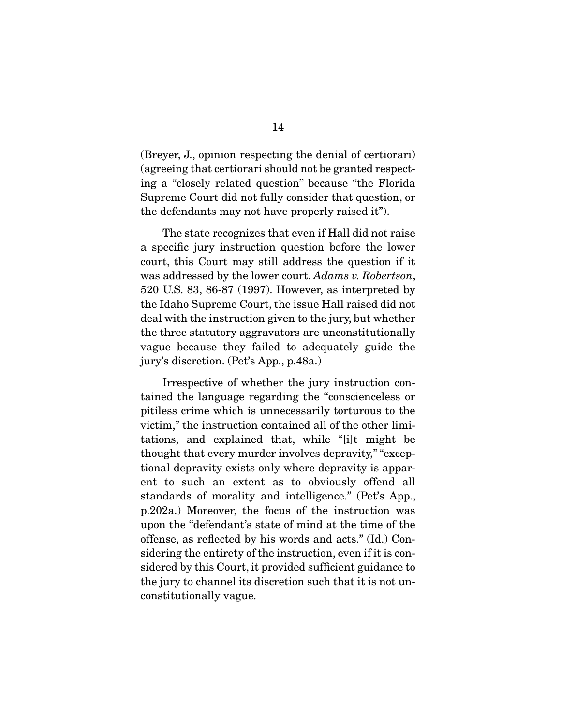(Breyer, J., opinion respecting the denial of certiorari) (agreeing that certiorari should not be granted respecting a "closely related question" because "the Florida Supreme Court did not fully consider that question, or the defendants may not have properly raised it").

 The state recognizes that even if Hall did not raise a specific jury instruction question before the lower court, this Court may still address the question if it was addressed by the lower court. *Adams v. Robertson*, 520 U.S. 83, 86-87 (1997). However, as interpreted by the Idaho Supreme Court, the issue Hall raised did not deal with the instruction given to the jury, but whether the three statutory aggravators are unconstitutionally vague because they failed to adequately guide the jury's discretion. (Pet's App., p.48a.)

 Irrespective of whether the jury instruction contained the language regarding the "conscienceless or pitiless crime which is unnecessarily torturous to the victim," the instruction contained all of the other limitations, and explained that, while "[i]t might be thought that every murder involves depravity," "exceptional depravity exists only where depravity is apparent to such an extent as to obviously offend all standards of morality and intelligence." (Pet's App., p.202a.) Moreover, the focus of the instruction was upon the "defendant's state of mind at the time of the offense, as reflected by his words and acts." (Id.) Considering the entirety of the instruction, even if it is considered by this Court, it provided sufficient guidance to the jury to channel its discretion such that it is not unconstitutionally vague.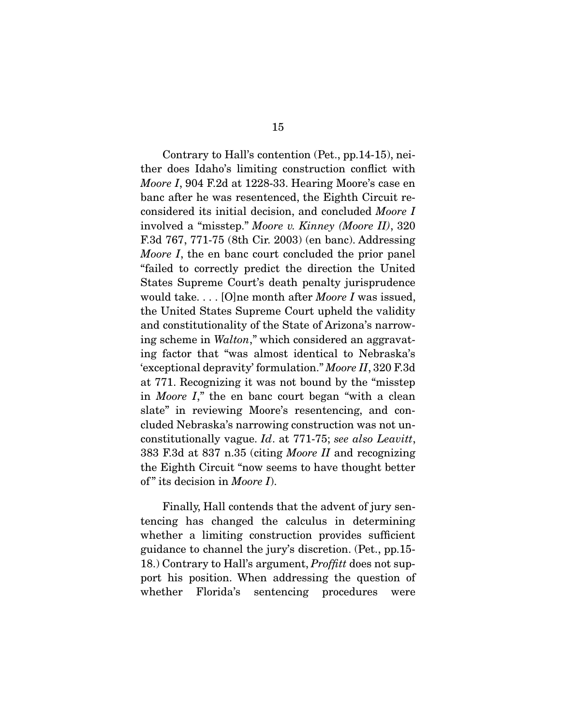Contrary to Hall's contention (Pet., pp.14-15), neither does Idaho's limiting construction conflict with *Moore I*, 904 F.2d at 1228-33. Hearing Moore's case en banc after he was resentenced, the Eighth Circuit reconsidered its initial decision, and concluded *Moore I* involved a "misstep." *Moore v. Kinney (Moore II)*, 320 F.3d 767, 771-75 (8th Cir. 2003) (en banc). Addressing *Moore I*, the en banc court concluded the prior panel "failed to correctly predict the direction the United States Supreme Court's death penalty jurisprudence would take. . . . [O]ne month after *Moore I* was issued, the United States Supreme Court upheld the validity and constitutionality of the State of Arizona's narrowing scheme in *Walton*," which considered an aggravating factor that "was almost identical to Nebraska's 'exceptional depravity' formulation." *Moore II*, 320 F.3d at 771. Recognizing it was not bound by the "misstep in *Moore I*," the en banc court began "with a clean slate" in reviewing Moore's resentencing, and concluded Nebraska's narrowing construction was not unconstitutionally vague. *Id*. at 771-75; *see also Leavitt*, 383 F.3d at 837 n.35 (citing *Moore II* and recognizing the Eighth Circuit "now seems to have thought better of " its decision in *Moore I*).

 Finally, Hall contends that the advent of jury sentencing has changed the calculus in determining whether a limiting construction provides sufficient guidance to channel the jury's discretion. (Pet., pp.15- 18.) Contrary to Hall's argument, *Proffitt* does not support his position. When addressing the question of whether Florida's sentencing procedures were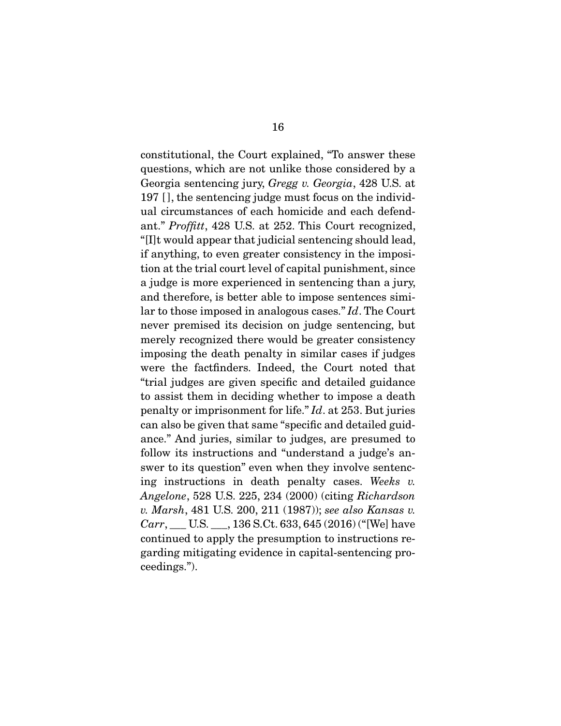constitutional, the Court explained, "To answer these questions, which are not unlike those considered by a Georgia sentencing jury, *Gregg v. Georgia*, 428 U.S. at 197 [ ], the sentencing judge must focus on the individual circumstances of each homicide and each defendant." *Proffitt*, 428 U.S. at 252. This Court recognized, "[I]t would appear that judicial sentencing should lead, if anything, to even greater consistency in the imposition at the trial court level of capital punishment, since a judge is more experienced in sentencing than a jury, and therefore, is better able to impose sentences similar to those imposed in analogous cases." *Id*. The Court never premised its decision on judge sentencing, but merely recognized there would be greater consistency imposing the death penalty in similar cases if judges were the factfinders. Indeed, the Court noted that "trial judges are given specific and detailed guidance to assist them in deciding whether to impose a death penalty or imprisonment for life." *Id*. at 253. But juries can also be given that same "specific and detailed guidance." And juries, similar to judges, are presumed to follow its instructions and "understand a judge's answer to its question" even when they involve sentencing instructions in death penalty cases. *Weeks v. Angelone*, 528 U.S. 225, 234 (2000) (citing *Richardson v. Marsh*, 481 U.S. 200, 211 (1987)); *see also Kansas v. Carr*, \_\_\_ U.S. \_\_\_, 136 S.Ct. 633, 645 (2016) ("[We] have continued to apply the presumption to instructions regarding mitigating evidence in capital-sentencing proceedings.").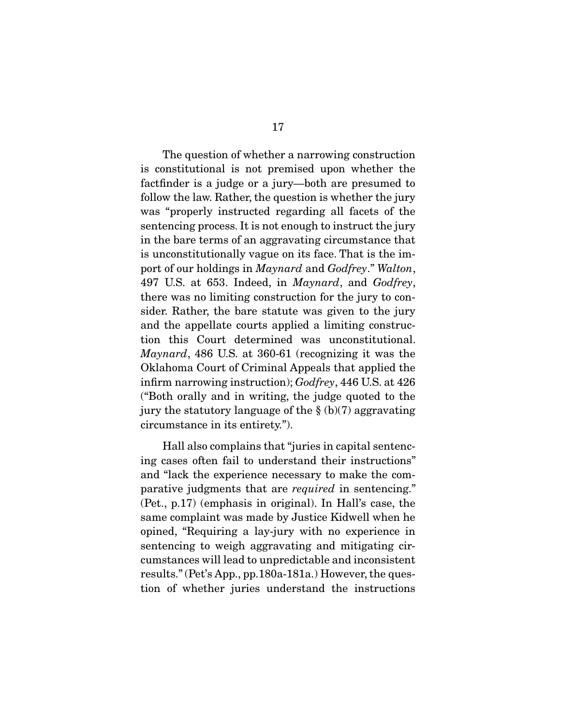The question of whether a narrowing construction is constitutional is not premised upon whether the factfinder is a judge or a jury—both are presumed to follow the law. Rather, the question is whether the jury was "properly instructed regarding all facets of the sentencing process. It is not enough to instruct the jury in the bare terms of an aggravating circumstance that is unconstitutionally vague on its face. That is the import of our holdings in *Maynard* and *Godfrey*." *Walton*, 497 U.S. at 653. Indeed, in *Maynard*, and *Godfrey*, there was no limiting construction for the jury to consider. Rather, the bare statute was given to the jury and the appellate courts applied a limiting construction this Court determined was unconstitutional. *Maynard*, 486 U.S. at 360-61 (recognizing it was the Oklahoma Court of Criminal Appeals that applied the infirm narrowing instruction); *Godfrey*, 446 U.S. at 426 ("Both orally and in writing, the judge quoted to the jury the statutory language of the  $\S$  (b)(7) aggravating circumstance in its entirety.").

 Hall also complains that "juries in capital sentencing cases often fail to understand their instructions" and "lack the experience necessary to make the comparative judgments that are *required* in sentencing." (Pet., p.17) (emphasis in original). In Hall's case, the same complaint was made by Justice Kidwell when he opined, "Requiring a lay-jury with no experience in sentencing to weigh aggravating and mitigating circumstances will lead to unpredictable and inconsistent results." (Pet's App., pp.180a-181a.) However, the question of whether juries understand the instructions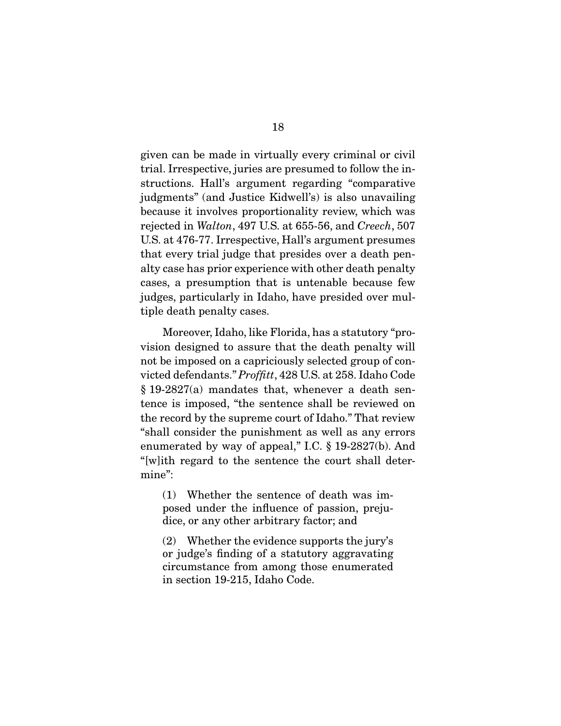given can be made in virtually every criminal or civil trial. Irrespective, juries are presumed to follow the instructions. Hall's argument regarding "comparative judgments" (and Justice Kidwell's) is also unavailing because it involves proportionality review, which was rejected in *Walton*, 497 U.S. at 655-56, and *Creech*, 507 U.S. at 476-77. Irrespective, Hall's argument presumes that every trial judge that presides over a death penalty case has prior experience with other death penalty cases, a presumption that is untenable because few judges, particularly in Idaho, have presided over multiple death penalty cases.

 Moreover, Idaho, like Florida, has a statutory "provision designed to assure that the death penalty will not be imposed on a capriciously selected group of convicted defendants." *Proffitt*, 428 U.S. at 258. Idaho Code § 19-2827(a) mandates that, whenever a death sentence is imposed, "the sentence shall be reviewed on the record by the supreme court of Idaho." That review "shall consider the punishment as well as any errors enumerated by way of appeal," I.C. § 19-2827(b). And "[w]ith regard to the sentence the court shall determine":

(1) Whether the sentence of death was imposed under the influence of passion, prejudice, or any other arbitrary factor; and

(2) Whether the evidence supports the jury's or judge's finding of a statutory aggravating circumstance from among those enumerated in section 19-215, Idaho Code.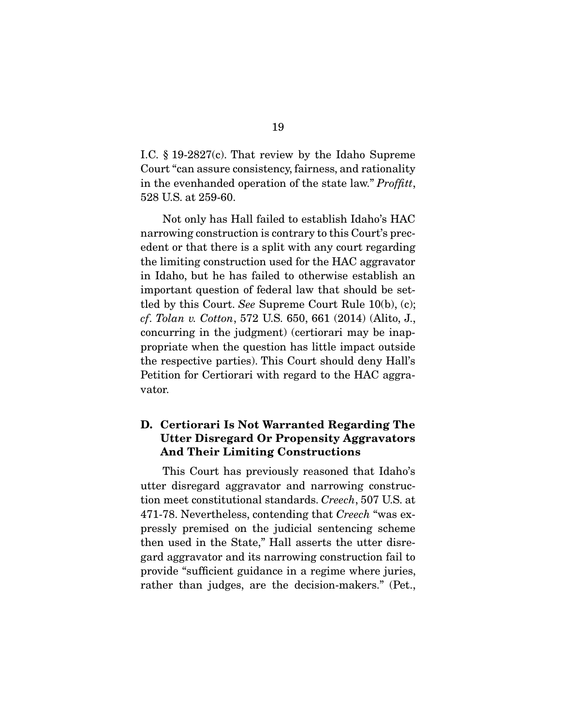I.C. § 19-2827(c). That review by the Idaho Supreme Court "can assure consistency, fairness, and rationality in the evenhanded operation of the state law." *Proffitt*, 528 U.S. at 259-60.

 Not only has Hall failed to establish Idaho's HAC narrowing construction is contrary to this Court's precedent or that there is a split with any court regarding the limiting construction used for the HAC aggravator in Idaho, but he has failed to otherwise establish an important question of federal law that should be settled by this Court. *See* Supreme Court Rule 10(b), (c); *cf*. *Tolan v. Cotton*, 572 U.S. 650, 661 (2014) (Alito, J., concurring in the judgment) (certiorari may be inappropriate when the question has little impact outside the respective parties). This Court should deny Hall's Petition for Certiorari with regard to the HAC aggravator.

### D. Certiorari Is Not Warranted Regarding The Utter Disregard Or Propensity Aggravators And Their Limiting Constructions

 This Court has previously reasoned that Idaho's utter disregard aggravator and narrowing construction meet constitutional standards. *Creech*, 507 U.S. at 471-78. Nevertheless, contending that *Creech* "was expressly premised on the judicial sentencing scheme then used in the State," Hall asserts the utter disregard aggravator and its narrowing construction fail to provide "sufficient guidance in a regime where juries, rather than judges, are the decision-makers." (Pet.,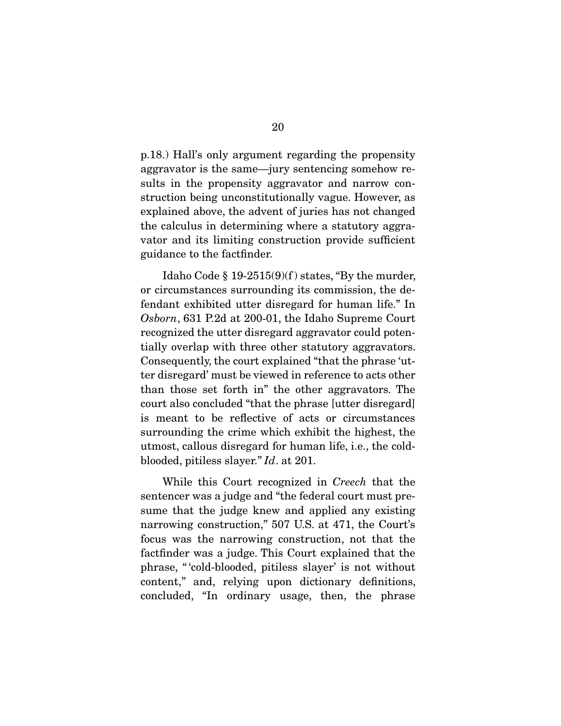p.18.) Hall's only argument regarding the propensity aggravator is the same—jury sentencing somehow results in the propensity aggravator and narrow construction being unconstitutionally vague. However, as explained above, the advent of juries has not changed the calculus in determining where a statutory aggravator and its limiting construction provide sufficient guidance to the factfinder.

Idaho Code  $\S 19-2515(9)(f)$  states, "By the murder, or circumstances surrounding its commission, the defendant exhibited utter disregard for human life." In *Osborn*, 631 P.2d at 200-01, the Idaho Supreme Court recognized the utter disregard aggravator could potentially overlap with three other statutory aggravators. Consequently, the court explained "that the phrase 'utter disregard' must be viewed in reference to acts other than those set forth in" the other aggravators. The court also concluded "that the phrase [utter disregard] is meant to be reflective of acts or circumstances surrounding the crime which exhibit the highest, the utmost, callous disregard for human life, i.e., the coldblooded, pitiless slayer." *Id*. at 201.

 While this Court recognized in *Creech* that the sentencer was a judge and "the federal court must presume that the judge knew and applied any existing narrowing construction," 507 U.S. at 471, the Court's focus was the narrowing construction, not that the factfinder was a judge. This Court explained that the phrase, " 'cold-blooded, pitiless slayer' is not without content," and, relying upon dictionary definitions, concluded, "In ordinary usage, then, the phrase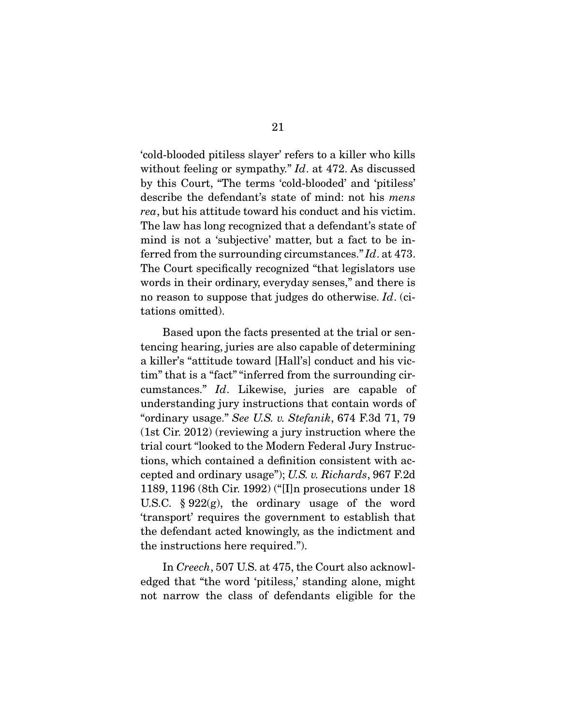'cold-blooded pitiless slayer' refers to a killer who kills without feeling or sympathy." *Id*. at 472. As discussed by this Court, "The terms 'cold-blooded' and 'pitiless' describe the defendant's state of mind: not his *mens rea*, but his attitude toward his conduct and his victim. The law has long recognized that a defendant's state of mind is not a 'subjective' matter, but a fact to be inferred from the surrounding circumstances." *Id*. at 473. The Court specifically recognized "that legislators use words in their ordinary, everyday senses," and there is no reason to suppose that judges do otherwise. *Id*. (citations omitted).

 Based upon the facts presented at the trial or sentencing hearing, juries are also capable of determining a killer's "attitude toward [Hall's] conduct and his victim" that is a "fact" "inferred from the surrounding circumstances." *Id*. Likewise, juries are capable of understanding jury instructions that contain words of "ordinary usage." *See U.S. v. Stefanik*, 674 F.3d 71, 79 (1st Cir. 2012) (reviewing a jury instruction where the trial court "looked to the Modern Federal Jury Instructions, which contained a definition consistent with accepted and ordinary usage"); *U.S. v. Richards*, 967 F.2d 1189, 1196 (8th Cir. 1992) ("[I]n prosecutions under 18 U.S.C. § 922(g), the ordinary usage of the word 'transport' requires the government to establish that the defendant acted knowingly, as the indictment and the instructions here required.").

 In *Creech*, 507 U.S. at 475, the Court also acknowledged that "the word 'pitiless,' standing alone, might not narrow the class of defendants eligible for the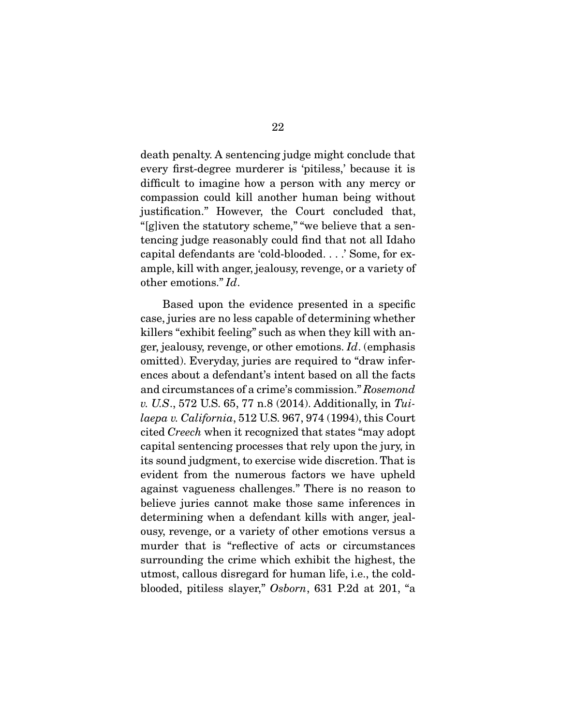death penalty. A sentencing judge might conclude that every first-degree murderer is 'pitiless,' because it is difficult to imagine how a person with any mercy or compassion could kill another human being without justification." However, the Court concluded that, "[g]iven the statutory scheme," "we believe that a sentencing judge reasonably could find that not all Idaho capital defendants are 'cold-blooded. . . .' Some, for example, kill with anger, jealousy, revenge, or a variety of other emotions." *Id*.

 Based upon the evidence presented in a specific case, juries are no less capable of determining whether killers "exhibit feeling" such as when they kill with anger, jealousy, revenge, or other emotions. *Id*. (emphasis omitted). Everyday, juries are required to "draw inferences about a defendant's intent based on all the facts and circumstances of a crime's commission." *Rosemond v. U.S*., 572 U.S. 65, 77 n.8 (2014). Additionally, in *Tuilaepa v. California*, 512 U.S. 967, 974 (1994), this Court cited *Creech* when it recognized that states "may adopt capital sentencing processes that rely upon the jury, in its sound judgment, to exercise wide discretion. That is evident from the numerous factors we have upheld against vagueness challenges." There is no reason to believe juries cannot make those same inferences in determining when a defendant kills with anger, jealousy, revenge, or a variety of other emotions versus a murder that is "reflective of acts or circumstances surrounding the crime which exhibit the highest, the utmost, callous disregard for human life, i.e., the coldblooded, pitiless slayer," *Osborn*, 631 P.2d at 201, "a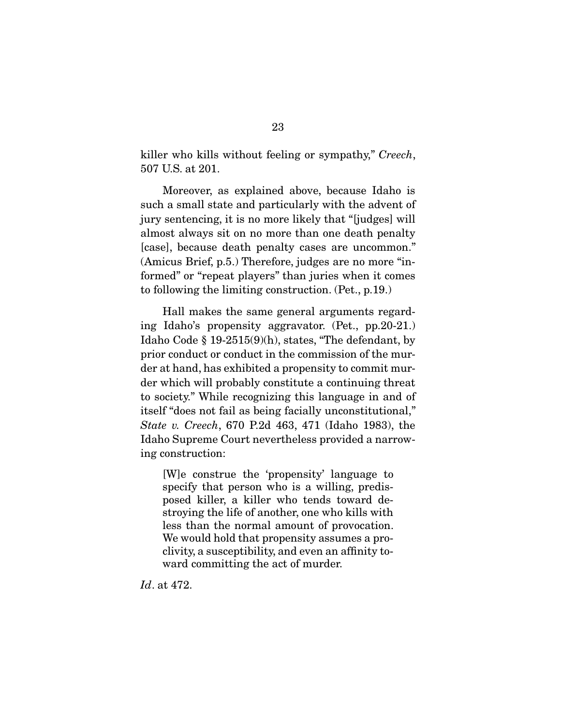killer who kills without feeling or sympathy," *Creech*, 507 U.S. at 201.

 Moreover, as explained above, because Idaho is such a small state and particularly with the advent of jury sentencing, it is no more likely that "[judges] will almost always sit on no more than one death penalty [case], because death penalty cases are uncommon." (Amicus Brief, p.5.) Therefore, judges are no more "informed" or "repeat players" than juries when it comes to following the limiting construction. (Pet., p.19.)

 Hall makes the same general arguments regarding Idaho's propensity aggravator. (Pet., pp.20-21.) Idaho Code § 19-2515(9)(h), states, "The defendant, by prior conduct or conduct in the commission of the murder at hand, has exhibited a propensity to commit murder which will probably constitute a continuing threat to society." While recognizing this language in and of itself "does not fail as being facially unconstitutional," *State v. Creech*, 670 P.2d 463, 471 (Idaho 1983), the Idaho Supreme Court nevertheless provided a narrowing construction:

[W]e construe the 'propensity' language to specify that person who is a willing, predisposed killer, a killer who tends toward destroying the life of another, one who kills with less than the normal amount of provocation. We would hold that propensity assumes a proclivity, a susceptibility, and even an affinity toward committing the act of murder.

*Id*. at 472.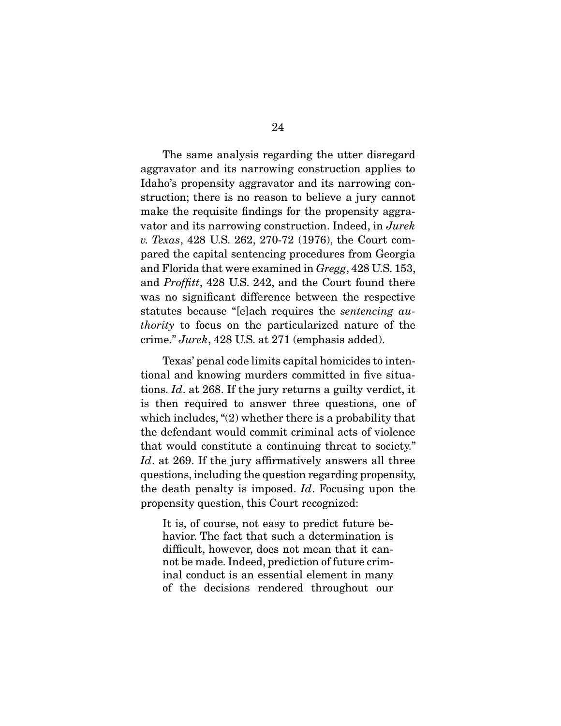The same analysis regarding the utter disregard aggravator and its narrowing construction applies to Idaho's propensity aggravator and its narrowing construction; there is no reason to believe a jury cannot make the requisite findings for the propensity aggravator and its narrowing construction. Indeed, in *Jurek v. Texas*, 428 U.S. 262, 270-72 (1976), the Court compared the capital sentencing procedures from Georgia and Florida that were examined in *Gregg*, 428 U.S. 153, and *Proffitt*, 428 U.S. 242, and the Court found there was no significant difference between the respective statutes because "[e]ach requires the *sentencing authority* to focus on the particularized nature of the crime." *Jurek*, 428 U.S. at 271 (emphasis added).

 Texas' penal code limits capital homicides to intentional and knowing murders committed in five situations. *Id*. at 268. If the jury returns a guilty verdict, it is then required to answer three questions, one of which includes, "(2) whether there is a probability that the defendant would commit criminal acts of violence that would constitute a continuing threat to society." *Id*. at 269. If the jury affirmatively answers all three questions, including the question regarding propensity, the death penalty is imposed. *Id*. Focusing upon the propensity question, this Court recognized:

It is, of course, not easy to predict future behavior. The fact that such a determination is difficult, however, does not mean that it cannot be made. Indeed, prediction of future criminal conduct is an essential element in many of the decisions rendered throughout our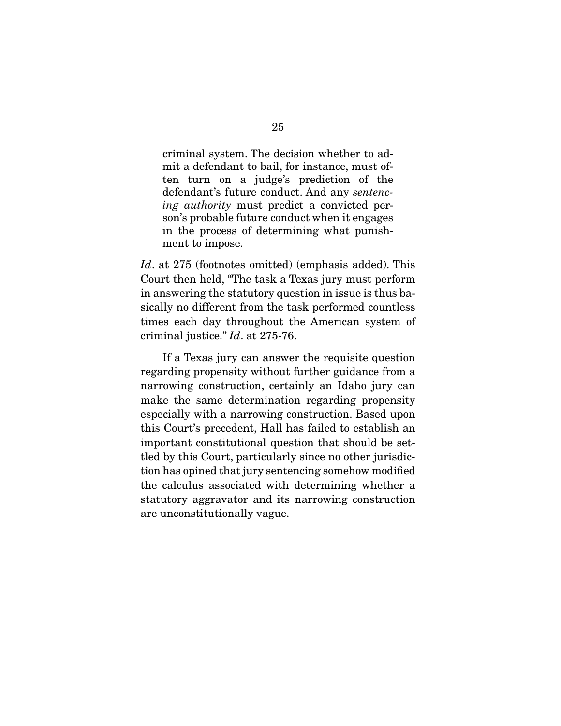criminal system. The decision whether to admit a defendant to bail, for instance, must often turn on a judge's prediction of the defendant's future conduct. And any *sentencing authority* must predict a convicted person's probable future conduct when it engages in the process of determining what punishment to impose.

*Id*. at 275 (footnotes omitted) (emphasis added). This Court then held, "The task a Texas jury must perform in answering the statutory question in issue is thus basically no different from the task performed countless times each day throughout the American system of criminal justice." *Id*. at 275-76.

 If a Texas jury can answer the requisite question regarding propensity without further guidance from a narrowing construction, certainly an Idaho jury can make the same determination regarding propensity especially with a narrowing construction. Based upon this Court's precedent, Hall has failed to establish an important constitutional question that should be settled by this Court, particularly since no other jurisdiction has opined that jury sentencing somehow modified the calculus associated with determining whether a statutory aggravator and its narrowing construction are unconstitutionally vague.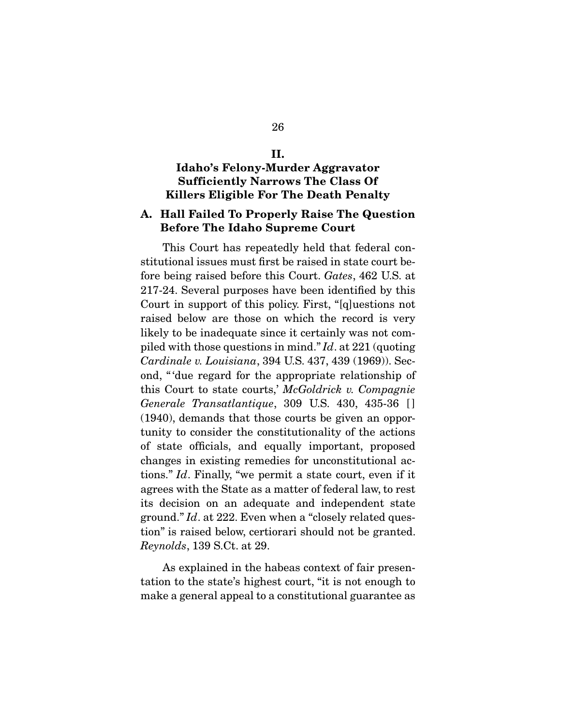# II.

### Idaho's Felony-Murder Aggravator Sufficiently Narrows The Class Of Killers Eligible For The Death Penalty

#### A. Hall Failed To Properly Raise The Question Before The Idaho Supreme Court

 This Court has repeatedly held that federal constitutional issues must first be raised in state court before being raised before this Court. *Gates*, 462 U.S. at 217-24. Several purposes have been identified by this Court in support of this policy. First, "[q]uestions not raised below are those on which the record is very likely to be inadequate since it certainly was not compiled with those questions in mind." *Id*. at 221 (quoting *Cardinale v. Louisiana*, 394 U.S. 437, 439 (1969)). Second, " 'due regard for the appropriate relationship of this Court to state courts,' *McGoldrick v. Compagnie Generale Transatlantique*, 309 U.S. 430, 435-36 [ ] (1940), demands that those courts be given an opportunity to consider the constitutionality of the actions of state officials, and equally important, proposed changes in existing remedies for unconstitutional actions." *Id*. Finally, "we permit a state court, even if it agrees with the State as a matter of federal law, to rest its decision on an adequate and independent state ground." *Id*. at 222. Even when a "closely related question" is raised below, certiorari should not be granted. *Reynolds*, 139 S.Ct. at 29.

 As explained in the habeas context of fair presentation to the state's highest court, "it is not enough to make a general appeal to a constitutional guarantee as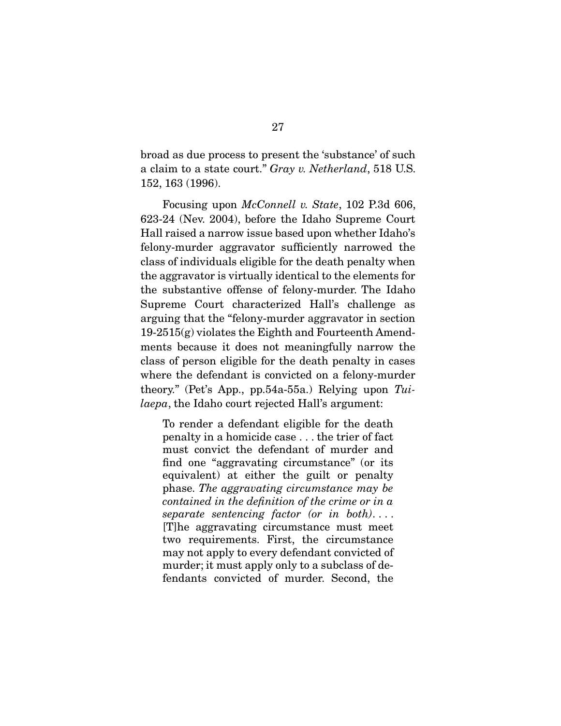broad as due process to present the 'substance' of such a claim to a state court." *Gray v. Netherland*, 518 U.S. 152, 163 (1996).

 Focusing upon *McConnell v. State*, 102 P.3d 606, 623-24 (Nev. 2004), before the Idaho Supreme Court Hall raised a narrow issue based upon whether Idaho's felony-murder aggravator sufficiently narrowed the class of individuals eligible for the death penalty when the aggravator is virtually identical to the elements for the substantive offense of felony-murder. The Idaho Supreme Court characterized Hall's challenge as arguing that the "felony-murder aggravator in section 19-2515(g) violates the Eighth and Fourteenth Amendments because it does not meaningfully narrow the class of person eligible for the death penalty in cases where the defendant is convicted on a felony-murder theory." (Pet's App., pp.54a-55a.) Relying upon *Tuilaepa*, the Idaho court rejected Hall's argument:

To render a defendant eligible for the death penalty in a homicide case . . . the trier of fact must convict the defendant of murder and find one "aggravating circumstance" (or its equivalent) at either the guilt or penalty phase. *The aggravating circumstance may be contained in the definition of the crime or in a separate sentencing factor (or in both)*. . . . [T]he aggravating circumstance must meet two requirements. First, the circumstance may not apply to every defendant convicted of murder; it must apply only to a subclass of defendants convicted of murder. Second, the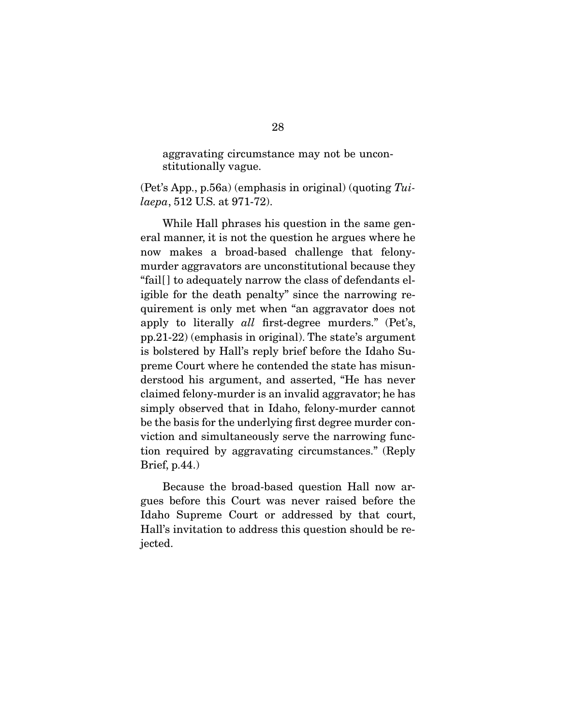aggravating circumstance may not be unconstitutionally vague.

(Pet's App., p.56a) (emphasis in original) (quoting *Tuilaepa*, 512 U.S. at 971-72).

 While Hall phrases his question in the same general manner, it is not the question he argues where he now makes a broad-based challenge that felonymurder aggravators are unconstitutional because they "fail[ ] to adequately narrow the class of defendants eligible for the death penalty" since the narrowing requirement is only met when "an aggravator does not apply to literally *all* first-degree murders." (Pet's, pp.21-22) (emphasis in original). The state's argument is bolstered by Hall's reply brief before the Idaho Supreme Court where he contended the state has misunderstood his argument, and asserted, "He has never claimed felony-murder is an invalid aggravator; he has simply observed that in Idaho, felony-murder cannot be the basis for the underlying first degree murder conviction and simultaneously serve the narrowing function required by aggravating circumstances." (Reply Brief, p.44.)

 Because the broad-based question Hall now argues before this Court was never raised before the Idaho Supreme Court or addressed by that court, Hall's invitation to address this question should be rejected.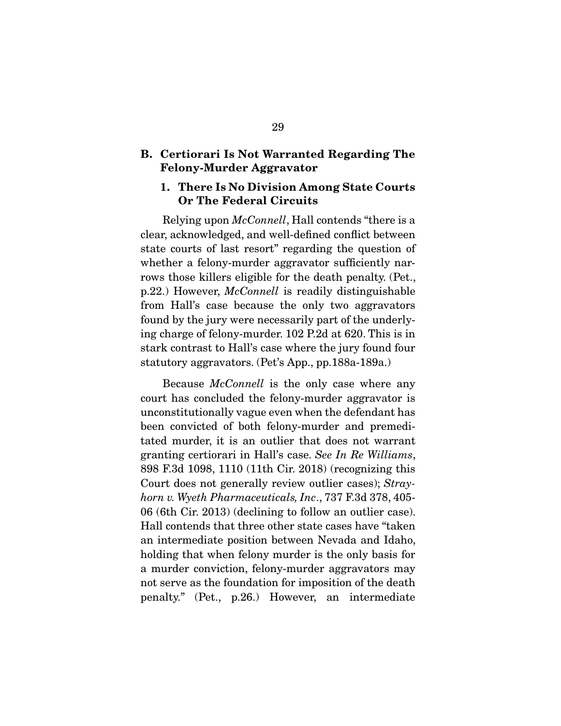#### B. Certiorari Is Not Warranted Regarding The Felony-Murder Aggravator

#### 1. There Is No Division Among State Courts Or The Federal Circuits

 Relying upon *McConnell*, Hall contends "there is a clear, acknowledged, and well-defined conflict between state courts of last resort" regarding the question of whether a felony-murder aggravator sufficiently narrows those killers eligible for the death penalty. (Pet., p.22.) However, *McConnell* is readily distinguishable from Hall's case because the only two aggravators found by the jury were necessarily part of the underlying charge of felony-murder. 102 P.2d at 620. This is in stark contrast to Hall's case where the jury found four statutory aggravators. (Pet's App., pp.188a-189a.)

 Because *McConnell* is the only case where any court has concluded the felony-murder aggravator is unconstitutionally vague even when the defendant has been convicted of both felony-murder and premeditated murder, it is an outlier that does not warrant granting certiorari in Hall's case. *See In Re Williams*, 898 F.3d 1098, 1110 (11th Cir. 2018) (recognizing this Court does not generally review outlier cases); *Strayhorn v. Wyeth Pharmaceuticals, Inc*., 737 F.3d 378, 405- 06 (6th Cir. 2013) (declining to follow an outlier case). Hall contends that three other state cases have "taken an intermediate position between Nevada and Idaho, holding that when felony murder is the only basis for a murder conviction, felony-murder aggravators may not serve as the foundation for imposition of the death penalty." (Pet., p.26.) However, an intermediate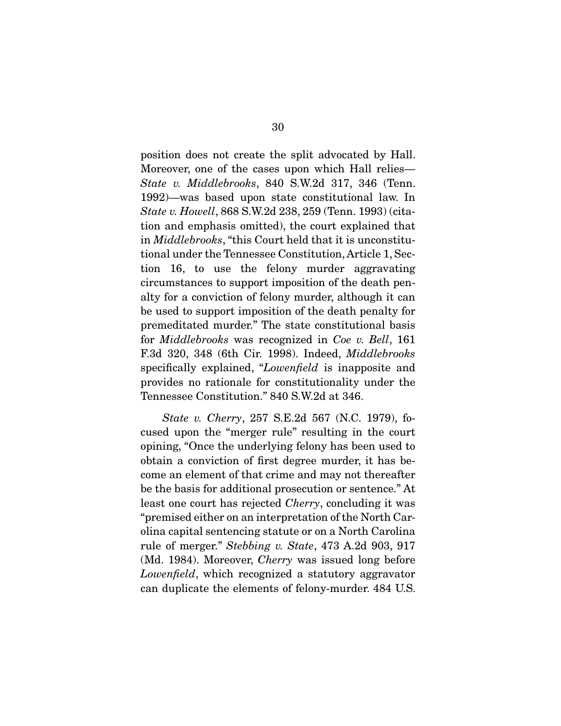position does not create the split advocated by Hall. Moreover, one of the cases upon which Hall relies— *State v. Middlebrooks*, 840 S.W.2d 317, 346 (Tenn. 1992)—was based upon state constitutional law. In *State v. Howell*, 868 S.W.2d 238, 259 (Tenn. 1993) (citation and emphasis omitted), the court explained that in *Middlebrooks*, "this Court held that it is unconstitutional under the Tennessee Constitution, Article 1, Section 16, to use the felony murder aggravating circumstances to support imposition of the death penalty for a conviction of felony murder, although it can be used to support imposition of the death penalty for premeditated murder." The state constitutional basis for *Middlebrooks* was recognized in *Coe v. Bell*, 161 F.3d 320, 348 (6th Cir. 1998). Indeed, *Middlebrooks* specifically explained, "*Lowenfield* is inapposite and provides no rationale for constitutionality under the Tennessee Constitution." 840 S.W.2d at 346.

*State v. Cherry*, 257 S.E.2d 567 (N.C. 1979), focused upon the "merger rule" resulting in the court opining, "Once the underlying felony has been used to obtain a conviction of first degree murder, it has become an element of that crime and may not thereafter be the basis for additional prosecution or sentence." At least one court has rejected *Cherry*, concluding it was "premised either on an interpretation of the North Carolina capital sentencing statute or on a North Carolina rule of merger." *Stebbing v. State*, 473 A.2d 903, 917 (Md. 1984). Moreover, *Cherry* was issued long before *Lowenfield*, which recognized a statutory aggravator can duplicate the elements of felony-murder. 484 U.S.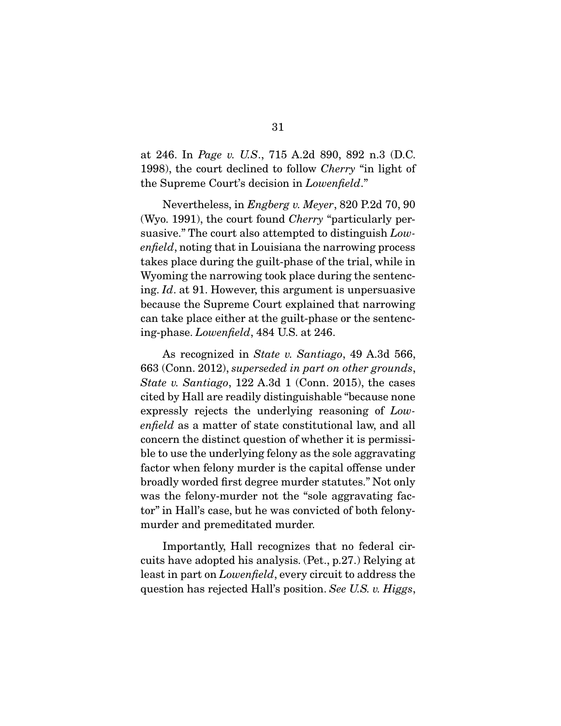at 246. In *Page v. U.S*., 715 A.2d 890, 892 n.3 (D.C. 1998), the court declined to follow *Cherry* "in light of the Supreme Court's decision in *Lowenfield*."

 Nevertheless, in *Engberg v. Meyer*, 820 P.2d 70, 90 (Wyo. 1991), the court found *Cherry* "particularly persuasive." The court also attempted to distinguish *Lowenfield*, noting that in Louisiana the narrowing process takes place during the guilt-phase of the trial, while in Wyoming the narrowing took place during the sentencing. *Id*. at 91. However, this argument is unpersuasive because the Supreme Court explained that narrowing can take place either at the guilt-phase or the sentencing-phase. *Lowenfield*, 484 U.S. at 246.

 As recognized in *State v. Santiago*, 49 A.3d 566, 663 (Conn. 2012), *superseded in part on other grounds*, *State v. Santiago*, 122 A.3d 1 (Conn. 2015), the cases cited by Hall are readily distinguishable "because none expressly rejects the underlying reasoning of *Lowenfield* as a matter of state constitutional law, and all concern the distinct question of whether it is permissible to use the underlying felony as the sole aggravating factor when felony murder is the capital offense under broadly worded first degree murder statutes." Not only was the felony-murder not the "sole aggravating factor" in Hall's case, but he was convicted of both felonymurder and premeditated murder.

 Importantly, Hall recognizes that no federal circuits have adopted his analysis. (Pet., p.27.) Relying at least in part on *Lowenfield*, every circuit to address the question has rejected Hall's position. *See U.S. v. Higgs*,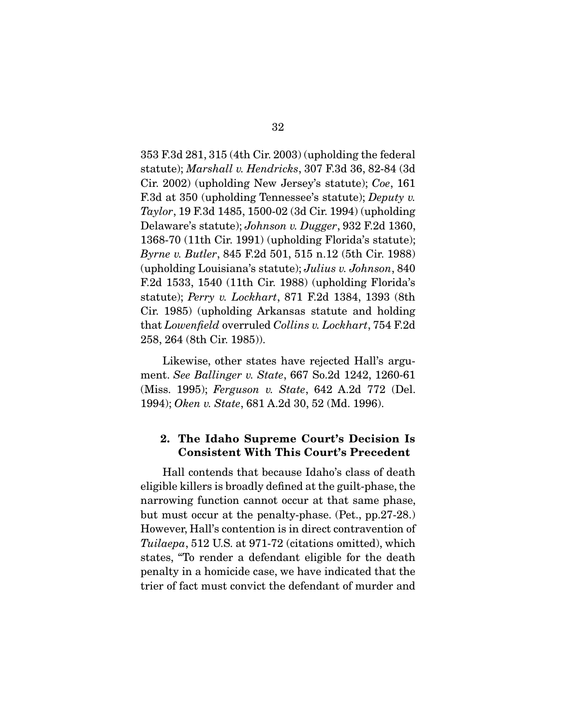353 F.3d 281, 315 (4th Cir. 2003) (upholding the federal statute); *Marshall v. Hendricks*, 307 F.3d 36, 82-84 (3d Cir. 2002) (upholding New Jersey's statute); *Coe*, 161 F.3d at 350 (upholding Tennessee's statute); *Deputy v. Taylor*, 19 F.3d 1485, 1500-02 (3d Cir. 1994) (upholding Delaware's statute); *Johnson v. Dugger*, 932 F.2d 1360, 1368-70 (11th Cir. 1991) (upholding Florida's statute); *Byrne v. Butler*, 845 F.2d 501, 515 n.12 (5th Cir. 1988) (upholding Louisiana's statute); *Julius v. Johnson*, 840 F.2d 1533, 1540 (11th Cir. 1988) (upholding Florida's statute); *Perry v. Lockhart*, 871 F.2d 1384, 1393 (8th Cir. 1985) (upholding Arkansas statute and holding that *Lowenfield* overruled *Collins v. Lockhart*, 754 F.2d 258, 264 (8th Cir. 1985)).

 Likewise, other states have rejected Hall's argument. *See Ballinger v. State*, 667 So.2d 1242, 1260-61 (Miss. 1995); *Ferguson v. State*, 642 A.2d 772 (Del. 1994); *Oken v. State*, 681 A.2d 30, 52 (Md. 1996).

#### 2. The Idaho Supreme Court's Decision Is Consistent With This Court's Precedent

 Hall contends that because Idaho's class of death eligible killers is broadly defined at the guilt-phase, the narrowing function cannot occur at that same phase, but must occur at the penalty-phase. (Pet., pp.27-28.) However, Hall's contention is in direct contravention of *Tuilaepa*, 512 U.S. at 971-72 (citations omitted), which states, "To render a defendant eligible for the death penalty in a homicide case, we have indicated that the trier of fact must convict the defendant of murder and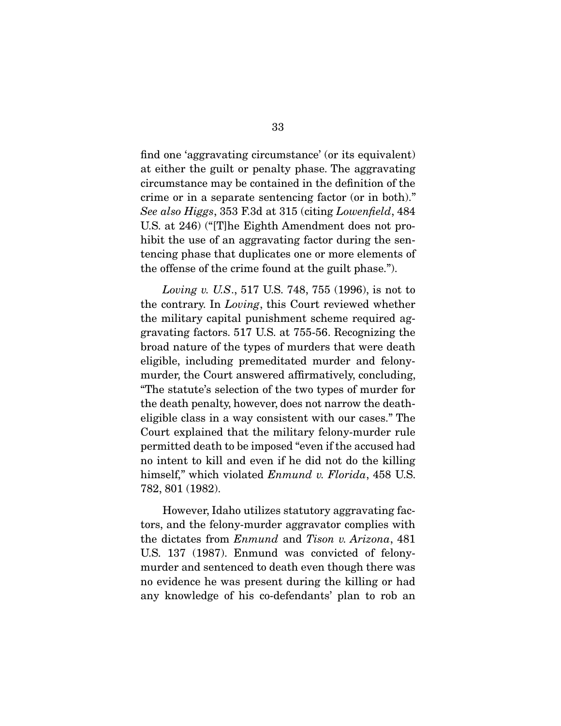find one 'aggravating circumstance' (or its equivalent) at either the guilt or penalty phase. The aggravating circumstance may be contained in the definition of the crime or in a separate sentencing factor (or in both)." *See also Higgs*, 353 F.3d at 315 (citing *Lowenfield*, 484 U.S. at 246) ("[T]he Eighth Amendment does not prohibit the use of an aggravating factor during the sentencing phase that duplicates one or more elements of the offense of the crime found at the guilt phase.").

*Loving v. U.S*., 517 U.S. 748, 755 (1996), is not to the contrary. In *Loving*, this Court reviewed whether the military capital punishment scheme required aggravating factors. 517 U.S. at 755-56. Recognizing the broad nature of the types of murders that were death eligible, including premeditated murder and felonymurder, the Court answered affirmatively, concluding, "The statute's selection of the two types of murder for the death penalty, however, does not narrow the deatheligible class in a way consistent with our cases." The Court explained that the military felony-murder rule permitted death to be imposed "even if the accused had no intent to kill and even if he did not do the killing himself," which violated *Enmund v. Florida*, 458 U.S. 782, 801 (1982).

 However, Idaho utilizes statutory aggravating factors, and the felony-murder aggravator complies with the dictates from *Enmund* and *Tison v. Arizona*, 481 U.S. 137 (1987). Enmund was convicted of felonymurder and sentenced to death even though there was no evidence he was present during the killing or had any knowledge of his co-defendants' plan to rob an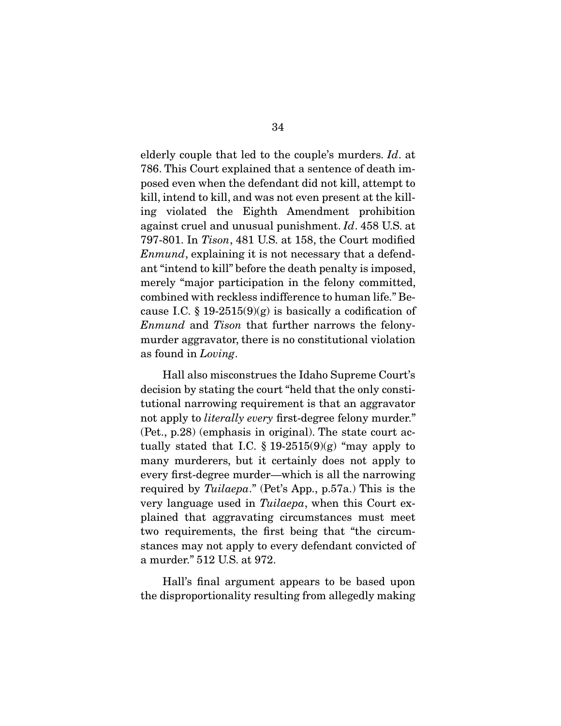elderly couple that led to the couple's murders. *Id*. at 786. This Court explained that a sentence of death imposed even when the defendant did not kill, attempt to kill, intend to kill, and was not even present at the killing violated the Eighth Amendment prohibition against cruel and unusual punishment. *Id*. 458 U.S. at 797-801. In *Tison*, 481 U.S. at 158, the Court modified *Enmund*, explaining it is not necessary that a defendant "intend to kill" before the death penalty is imposed, merely "major participation in the felony committed, combined with reckless indifference to human life." Because I.C.  $\S 19-2515(9)(g)$  is basically a codification of *Enmund* and *Tison* that further narrows the felonymurder aggravator, there is no constitutional violation as found in *Loving*.

 Hall also misconstrues the Idaho Supreme Court's decision by stating the court "held that the only constitutional narrowing requirement is that an aggravator not apply to *literally every* first-degree felony murder." (Pet., p.28) (emphasis in original). The state court actually stated that I.C.  $\S 19-2515(9)(g)$  "may apply to many murderers, but it certainly does not apply to every first-degree murder—which is all the narrowing required by *Tuilaepa*." (Pet's App., p.57a.) This is the very language used in *Tuilaepa*, when this Court explained that aggravating circumstances must meet two requirements, the first being that "the circumstances may not apply to every defendant convicted of a murder." 512 U.S. at 972.

 Hall's final argument appears to be based upon the disproportionality resulting from allegedly making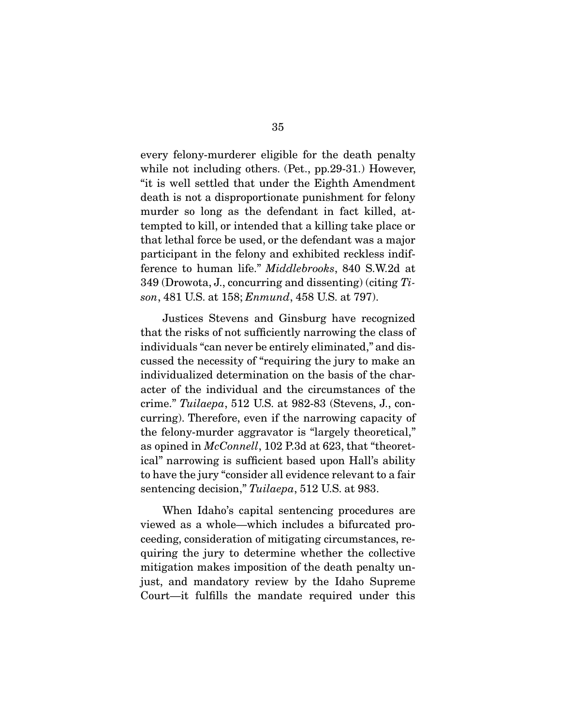every felony-murderer eligible for the death penalty while not including others. (Pet., pp.29-31.) However, "it is well settled that under the Eighth Amendment death is not a disproportionate punishment for felony murder so long as the defendant in fact killed, attempted to kill, or intended that a killing take place or that lethal force be used, or the defendant was a major participant in the felony and exhibited reckless indifference to human life." *Middlebrooks*, 840 S.W.2d at 349 (Drowota, J., concurring and dissenting) (citing *Tison*, 481 U.S. at 158; *Enmund*, 458 U.S. at 797).

 Justices Stevens and Ginsburg have recognized that the risks of not sufficiently narrowing the class of individuals "can never be entirely eliminated," and discussed the necessity of "requiring the jury to make an individualized determination on the basis of the character of the individual and the circumstances of the crime." *Tuilaepa*, 512 U.S. at 982-83 (Stevens, J., concurring). Therefore, even if the narrowing capacity of the felony-murder aggravator is "largely theoretical," as opined in *McConnell*, 102 P.3d at 623, that "theoretical" narrowing is sufficient based upon Hall's ability to have the jury "consider all evidence relevant to a fair sentencing decision," *Tuilaepa*, 512 U.S. at 983.

 When Idaho's capital sentencing procedures are viewed as a whole—which includes a bifurcated proceeding, consideration of mitigating circumstances, requiring the jury to determine whether the collective mitigation makes imposition of the death penalty unjust, and mandatory review by the Idaho Supreme Court—it fulfills the mandate required under this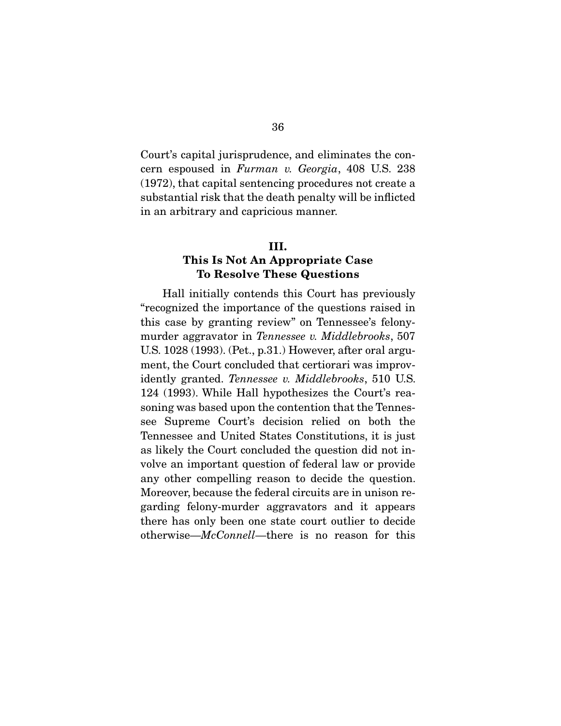Court's capital jurisprudence, and eliminates the concern espoused in *Furman v. Georgia*, 408 U.S. 238 (1972), that capital sentencing procedures not create a substantial risk that the death penalty will be inflicted in an arbitrary and capricious manner.

#### III.

#### This Is Not An Appropriate Case To Resolve These Questions

 Hall initially contends this Court has previously "recognized the importance of the questions raised in this case by granting review" on Tennessee's felonymurder aggravator in *Tennessee v. Middlebrooks*, 507 U.S. 1028 (1993). (Pet., p.31.) However, after oral argument, the Court concluded that certiorari was improvidently granted. *Tennessee v. Middlebrooks*, 510 U.S. 124 (1993). While Hall hypothesizes the Court's reasoning was based upon the contention that the Tennessee Supreme Court's decision relied on both the Tennessee and United States Constitutions, it is just as likely the Court concluded the question did not involve an important question of federal law or provide any other compelling reason to decide the question. Moreover, because the federal circuits are in unison regarding felony-murder aggravators and it appears there has only been one state court outlier to decide otherwise—*McConnell*—there is no reason for this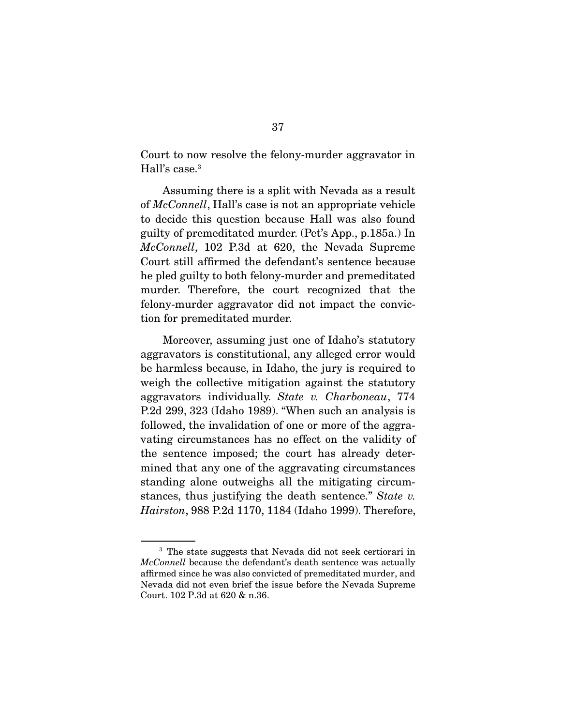Court to now resolve the felony-murder aggravator in Hall's case.3

 Assuming there is a split with Nevada as a result of *McConnell*, Hall's case is not an appropriate vehicle to decide this question because Hall was also found guilty of premeditated murder. (Pet's App., p.185a.) In *McConnell*, 102 P.3d at 620, the Nevada Supreme Court still affirmed the defendant's sentence because he pled guilty to both felony-murder and premeditated murder. Therefore, the court recognized that the felony-murder aggravator did not impact the conviction for premeditated murder.

 Moreover, assuming just one of Idaho's statutory aggravators is constitutional, any alleged error would be harmless because, in Idaho, the jury is required to weigh the collective mitigation against the statutory aggravators individually. *State v. Charboneau*, 774 P.2d 299, 323 (Idaho 1989). "When such an analysis is followed, the invalidation of one or more of the aggravating circumstances has no effect on the validity of the sentence imposed; the court has already determined that any one of the aggravating circumstances standing alone outweighs all the mitigating circumstances, thus justifying the death sentence." *State v. Hairston*, 988 P.2d 1170, 1184 (Idaho 1999). Therefore,

<sup>&</sup>lt;sup>3</sup> The state suggests that Nevada did not seek certiorari in *McConnell* because the defendant's death sentence was actually affirmed since he was also convicted of premeditated murder, and Nevada did not even brief the issue before the Nevada Supreme Court. 102 P.3d at 620 & n.36.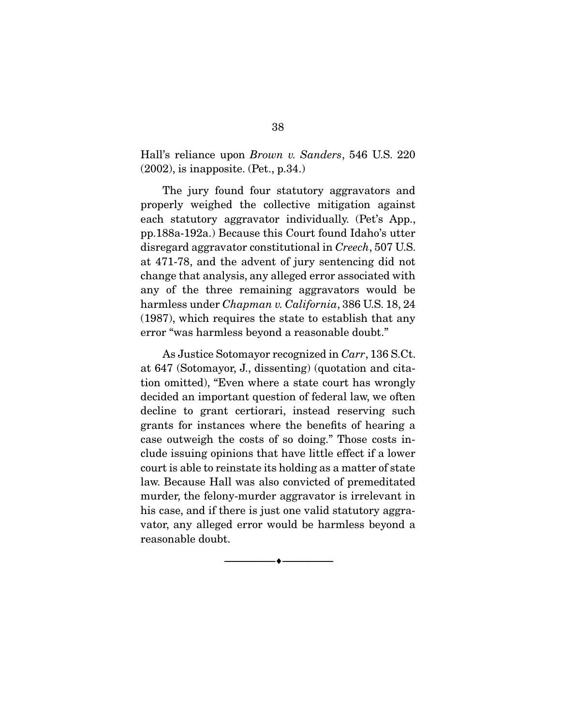Hall's reliance upon *Brown v. Sanders*, 546 U.S. 220 (2002), is inapposite. (Pet., p.34.)

 The jury found four statutory aggravators and properly weighed the collective mitigation against each statutory aggravator individually. (Pet's App., pp.188a-192a.) Because this Court found Idaho's utter disregard aggravator constitutional in *Creech*, 507 U.S. at 471-78, and the advent of jury sentencing did not change that analysis, any alleged error associated with any of the three remaining aggravators would be harmless under *Chapman v. California*, 386 U.S. 18, 24 (1987), which requires the state to establish that any error "was harmless beyond a reasonable doubt."

 As Justice Sotomayor recognized in *Carr*, 136 S.Ct. at 647 (Sotomayor, J., dissenting) (quotation and citation omitted), "Even where a state court has wrongly decided an important question of federal law, we often decline to grant certiorari, instead reserving such grants for instances where the benefits of hearing a case outweigh the costs of so doing." Those costs include issuing opinions that have little effect if a lower court is able to reinstate its holding as a matter of state law. Because Hall was also convicted of premeditated murder, the felony-murder aggravator is irrelevant in his case, and if there is just one valid statutory aggravator, any alleged error would be harmless beyond a reasonable doubt.

--------------------------------- ---------------------------------